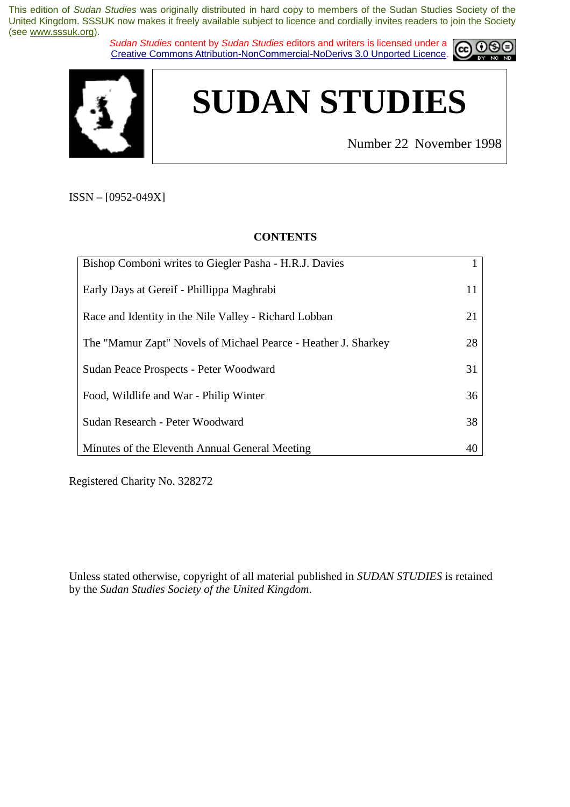*Sudan Studies* content by *Sudan Studies* editors and writers is licensed under a Creative Commons Attribution-NonCommercial-NoDerivs 3.0 Unported Licence.





Number 22 November 1998

ISSN – [0952-049X]

## **CONTENTS**

| Bishop Comboni writes to Giegler Pasha - H.R.J. Davies         |    |
|----------------------------------------------------------------|----|
| Early Days at Gereif - Phillippa Maghrabi                      | 11 |
| Race and Identity in the Nile Valley - Richard Lobban          | 21 |
| The "Mamur Zapt" Novels of Michael Pearce - Heather J. Sharkey | 28 |
| Sudan Peace Prospects - Peter Woodward                         | 31 |
| Food, Wildlife and War - Philip Winter                         | 36 |
| Sudan Research - Peter Woodward                                | 38 |
| Minutes of the Eleventh Annual General Meeting                 | 40 |

Registered Charity No. 328272

Unless stated otherwise, copyright of all material published in *SUDAN STUDIES* is retained by the *Sudan Studies Society of the United Kingdom*.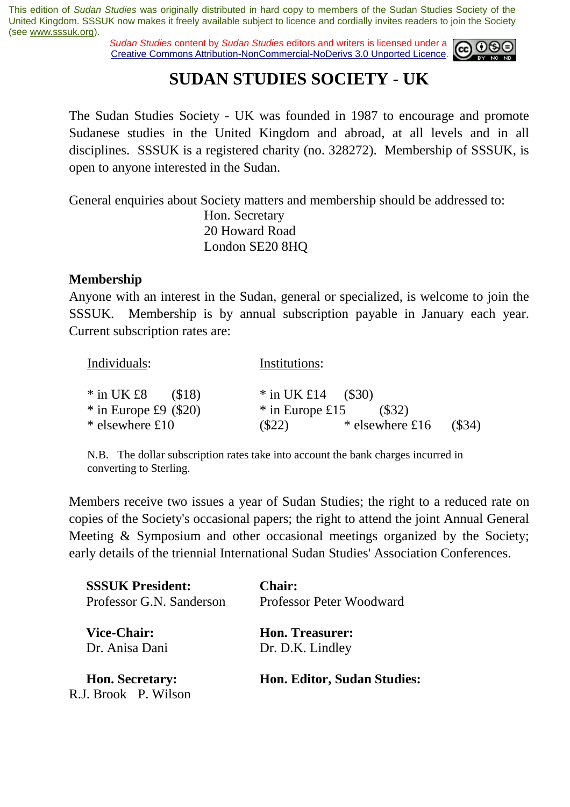*Sudan Studies* content by *Sudan Studies* editors and writers is licensed under a Creative Commons Attribution-NonCommercial-NoDerivs 3.0 Unported Licence.



## **SUDAN STUDIES SOCIETY - UK**

The Sudan Studies Society - UK was founded in 1987 to encourage and promote Sudanese studies in the United Kingdom and abroad, at all levels and in all disciplines. SSSUK is a registered charity (no. 328272). Membership of SSSUK, is open to anyone interested in the Sudan.

General enquiries about Society matters and membership should be addressed to:

 Hon. Secretary 20 Howard Road London SE20 8HQ

## **Membership**

Anyone with an interest in the Sudan, general or specialized, is welcome to join the SSSUK. Membership is by annual subscription payable in January each year. Current subscription rates are:

| Individuals:                                      | Institutions:                                       |
|---------------------------------------------------|-----------------------------------------------------|
| $*$ in UK £8<br>(\$18)<br>$*$ in Europe £9 (\$20) | * in UK £14 $($ \$30)<br>$*$ in Europe £15<br>(S32) |
| * elsewhere £10                                   | (\$34)<br>* elsewhere £16<br>$(\$22)$               |

N.B. The dollar subscription rates take into account the bank charges incurred in converting to Sterling.

Members receive two issues a year of Sudan Studies; the right to a reduced rate on copies of the Society's occasional papers; the right to attend the joint Annual General Meeting & Symposium and other occasional meetings organized by the Society; early details of the triennial International Sudan Studies' Association Conferences.

| <b>SSSUK President:</b>                        | <b>Chair:</b>                      |  |  |
|------------------------------------------------|------------------------------------|--|--|
| Professor G.N. Sanderson                       | Professor Peter Woodward           |  |  |
| <b>Vice-Chair:</b>                             | <b>Hon. Treasurer:</b>             |  |  |
| Dr. Anisa Dani                                 | Dr. D.K. Lindley                   |  |  |
| <b>Hon. Secretary:</b><br>R.J. Brook P. Wilson | <b>Hon. Editor, Sudan Studies:</b> |  |  |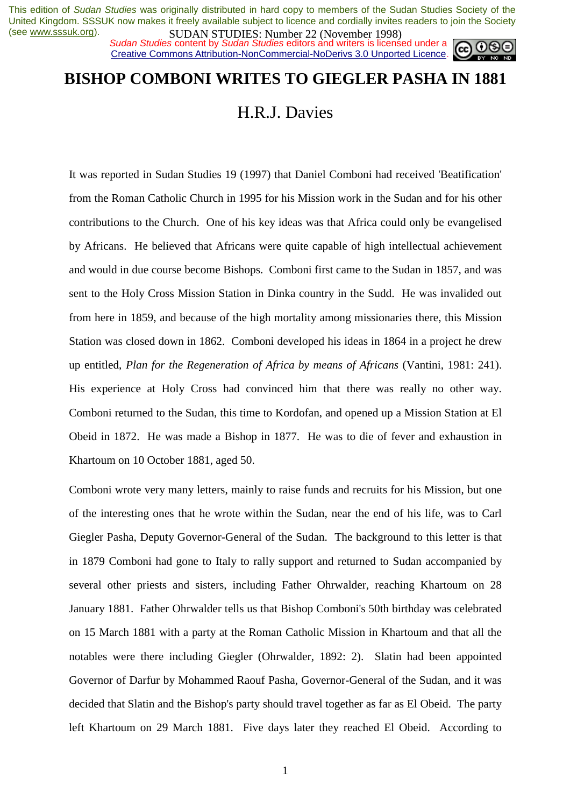**SUDAN STUDIES.** Number 22 (inversion 1770)<br>Sudan Studies content by Sudan Studies editors and writers is licensed under a Creative Commons Attribution-NonCommercial-NoDerivs 3.0 Unported Licence.



## **BISHOP COMBONI WRITES TO GIEGLER PASHA IN 1881**

H.R.J. Davies

It was reported in Sudan Studies 19 (1997) that Daniel Comboni had received 'Beatification' from the Roman Catholic Church in 1995 for his Mission work in the Sudan and for his other contributions to the Church. One of his key ideas was that Africa could only be evangelised by Africans. He believed that Africans were quite capable of high intellectual achievement and would in due course become Bishops. Comboni first came to the Sudan in 1857, and was sent to the Holy Cross Mission Station in Dinka country in the Sudd. He was invalided out from here in 1859, and because of the high mortality among missionaries there, this Mission Station was closed down in 1862. Comboni developed his ideas in 1864 in a project he drew up entitled, *Plan for the Regeneration of Africa by means of Africans* (Vantini, 1981: 241). His experience at Holy Cross had convinced him that there was really no other way. Comboni returned to the Sudan, this time to Kordofan, and opened up a Mission Station at El Obeid in 1872. He was made a Bishop in 1877. He was to die of fever and exhaustion in Khartoum on 10 October 1881, aged 50.

Comboni wrote very many letters, mainly to raise funds and recruits for his Mission, but one of the interesting ones that he wrote within the Sudan, near the end of his life, was to Carl Giegler Pasha, Deputy Governor-General of the Sudan. The background to this letter is that in 1879 Comboni had gone to Italy to rally support and returned to Sudan accompanied by several other priests and sisters, including Father Ohrwalder, reaching Khartoum on 28 January 1881. Father Ohrwalder tells us that Bishop Comboni's 50th birthday was celebrated on 15 March 1881 with a party at the Roman Catholic Mission in Khartoum and that all the notables were there including Giegler (Ohrwalder, 1892: 2). Slatin had been appointed Governor of Darfur by Mohammed Raouf Pasha, Governor-General of the Sudan, and it was decided that Slatin and the Bishop's party should travel together as far as El Obeid. The party left Khartoum on 29 March 1881. Five days later they reached El Obeid. According to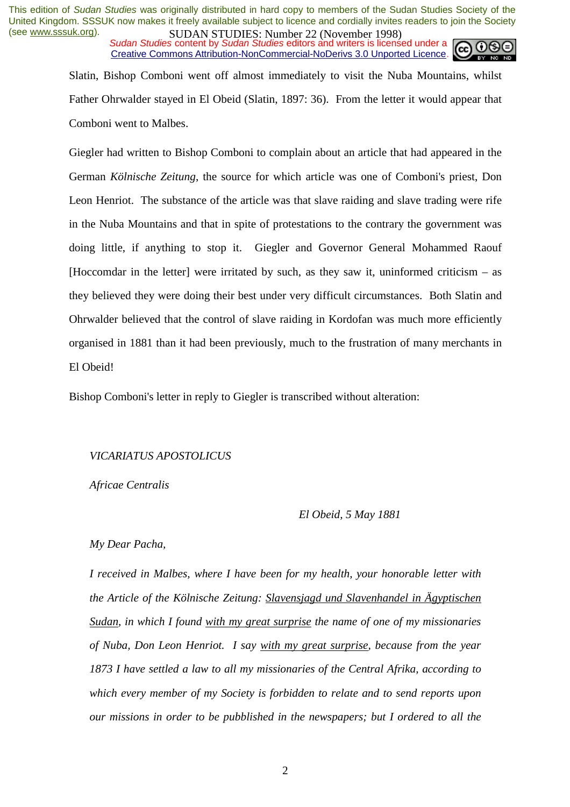*SUDAN STUDIES*. Number 22 GWYCHOOL 1226 Sudan Studies content by *Sudan Studies* editors and writers is licensed under a Creative Commons Attribution-NonCommercial-NoDerivs 3.0 Unported Licence.



Slatin, Bishop Comboni went off almost immediately to visit the Nuba Mountains, whilst Father Ohrwalder stayed in El Obeid (Slatin, 1897: 36). From the letter it would appear that Comboni went to Malbes.

Giegler had written to Bishop Comboni to complain about an article that had appeared in the German *Kölnische Zeitung*, the source for which article was one of Comboni's priest, Don Leon Henriot. The substance of the article was that slave raiding and slave trading were rife in the Nuba Mountains and that in spite of protestations to the contrary the government was doing little, if anything to stop it. Giegler and Governor General Mohammed Raouf [Hoccomdar in the letter] were irritated by such, as they saw it, uninformed criticism – as they believed they were doing their best under very difficult circumstances. Both Slatin and Ohrwalder believed that the control of slave raiding in Kordofan was much more efficiently organised in 1881 than it had been previously, much to the frustration of many merchants in El Obeid!

Bishop Comboni's letter in reply to Giegler is transcribed without alteration:

## *VICARIATUS APOSTOLICUS*

*Africae Centralis* 

#### *El Obeid, 5 May 1881*

#### *My Dear Pacha,*

*I received in Malbes, where I have been for my health, your honorable letter with the Article of the Kölnische Zeitung: Slavensjagd und Slavenhandel in Ägyptischen Sudan, in which I found with my great surprise the name of one of my missionaries of Nuba, Don Leon Henriot. I say with my great surprise, because from the year 1873 I have settled a law to all my missionaries of the Central Afrika, according to which every member of my Society is forbidden to relate and to send reports upon our missions in order to be pubblished in the newspapers; but I ordered to all the*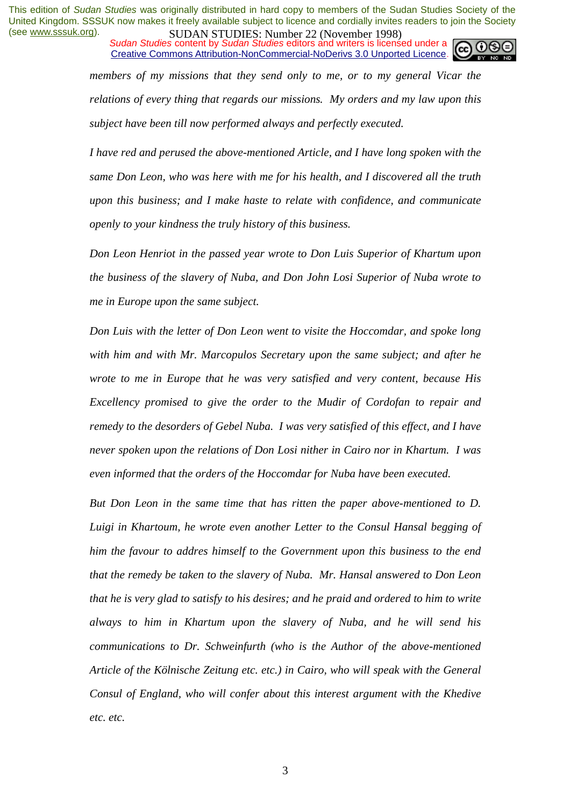*Sudan Studies* content by *Sudan Studies* editors and writers is licensed under a Creative Commons Attribution-NonCommercial-NoDerivs 3.0 Unported Licence.



*members of my missions that they send only to me, or to my general Vicar the relations of every thing that regards our missions. My orders and my law upon this subject have been till now performed always and perfectly executed.* 

*I have red and perused the above-mentioned Article, and I have long spoken with the same Don Leon, who was here with me for his health, and I discovered all the truth upon this business; and I make haste to relate with confidence, and communicate openly to your kindness the truly history of this business.* 

*Don Leon Henriot in the passed year wrote to Don Luis Superior of Khartum upon the business of the slavery of Nuba, and Don John Losi Superior of Nuba wrote to me in Europe upon the same subject.* 

*Don Luis with the letter of Don Leon went to visite the Hoccomdar, and spoke long with him and with Mr. Marcopulos Secretary upon the same subject; and after he wrote to me in Europe that he was very satisfied and very content, because His Excellency promised to give the order to the Mudir of Cordofan to repair and remedy to the desorders of Gebel Nuba. I was very satisfied of this effect, and I have never spoken upon the relations of Don Losi nither in Cairo nor in Khartum. I was even informed that the orders of the Hoccomdar for Nuba have been executed.* 

*But Don Leon in the same time that has ritten the paper above-mentioned to D. Luigi in Khartoum, he wrote even another Letter to the Consul Hansal begging of him the favour to addres himself to the Government upon this business to the end that the remedy be taken to the slavery of Nuba. Mr. Hansal answered to Don Leon that he is very glad to satisfy to his desires; and he praid and ordered to him to write always to him in Khartum upon the slavery of Nuba, and he will send his communications to Dr. Schweinfurth (who is the Author of the above-mentioned Article of the Kölnische Zeitung etc. etc.) in Cairo, who will speak with the General Consul of England, who will confer about this interest argument with the Khedive etc. etc.*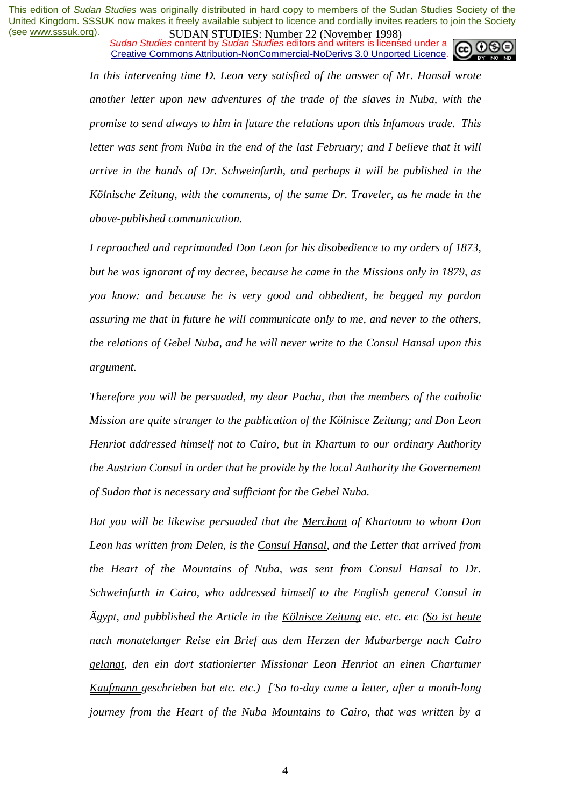*Sudan Studies* content by *Sudan Studies* editors and writers is licensed under a Creative Commons Attribution-NonCommercial-NoDerivs 3.0 Unported Licence.



In this intervening time D. Leon very satisfied of the answer of Mr. Hansal wrote *another letter upon new adventures of the trade of the slaves in Nuba, with the promise to send always to him in future the relations upon this infamous trade. This letter was sent from Nuba in the end of the last February; and I believe that it will arrive in the hands of Dr. Schweinfurth, and perhaps it will be published in the Kölnische Zeitung, with the comments, of the same Dr. Traveler, as he made in the above-published communication.* 

*I reproached and reprimanded Don Leon for his disobedience to my orders of 1873, but he was ignorant of my decree, because he came in the Missions only in 1879, as you know: and because he is very good and obbedient, he begged my pardon assuring me that in future he will communicate only to me, and never to the others, the relations of Gebel Nuba, and he will never write to the Consul Hansal upon this argument.* 

*Therefore you will be persuaded, my dear Pacha, that the members of the catholic Mission are quite stranger to the publication of the Kölnisce Zeitung; and Don Leon Henriot addressed himself not to Cairo, but in Khartum to our ordinary Authority the Austrian Consul in order that he provide by the local Authority the Governement of Sudan that is necessary and sufficiant for the Gebel Nuba.* 

*But you will be likewise persuaded that the Merchant of Khartoum to whom Don Leon has written from Delen, is the Consul Hansal, and the Letter that arrived from the Heart of the Mountains of Nuba, was sent from Consul Hansal to Dr. Schweinfurth in Cairo, who addressed himself to the English general Consul in Ägypt, and pubblished the Article in the Kölnisce Zeitung etc. etc. etc (So ist heute nach monatelanger Reise ein Brief aus dem Herzen der Mubarberge nach Cairo gelangt, den ein dort stationierter Missionar Leon Henriot an einen Chartumer Kaufmann geschrieben hat etc. etc.) ['So to-day came a letter, after a month-long journey from the Heart of the Nuba Mountains to Cairo, that was written by a*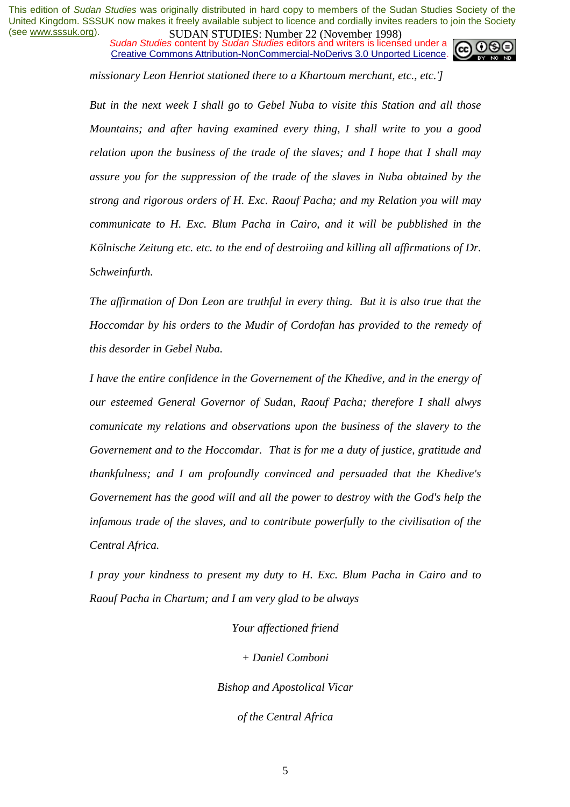*Sudan Studies* content by *Sudan Studies* editors and writers is licensed under a Creative Commons Attribution-NonCommercial-NoDerivs 3.0 Unported Licence.



*missionary Leon Henriot stationed there to a Khartoum merchant, etc., etc.']* 

*But in the next week I shall go to Gebel Nuba to visite this Station and all those Mountains; and after having examined every thing, I shall write to you a good relation upon the business of the trade of the slaves; and I hope that I shall may assure you for the suppression of the trade of the slaves in Nuba obtained by the strong and rigorous orders of H. Exc. Raouf Pacha; and my Relation you will may communicate to H. Exc. Blum Pacha in Cairo, and it will be pubblished in the Kölnische Zeitung etc. etc. to the end of destroiing and killing all affirmations of Dr. Schweinfurth.* 

*The affirmation of Don Leon are truthful in every thing. But it is also true that the Hoccomdar by his orders to the Mudir of Cordofan has provided to the remedy of this desorder in Gebel Nuba.* 

*I have the entire confidence in the Governement of the Khedive, and in the energy of our esteemed General Governor of Sudan, Raouf Pacha; therefore I shall alwys comunicate my relations and observations upon the business of the slavery to the Governement and to the Hoccomdar. That is for me a duty of justice, gratitude and thankfulness; and I am profoundly convinced and persuaded that the Khedive's Governement has the good will and all the power to destroy with the God's help the infamous trade of the slaves, and to contribute powerfully to the civilisation of the Central Africa.* 

*I pray your kindness to present my duty to H. Exc. Blum Pacha in Cairo and to Raouf Pacha in Chartum; and I am very glad to be always* 

*Your affectioned friend* 

*+ Daniel Comboni* 

*Bishop and Apostolical Vicar* 

*of the Central Africa*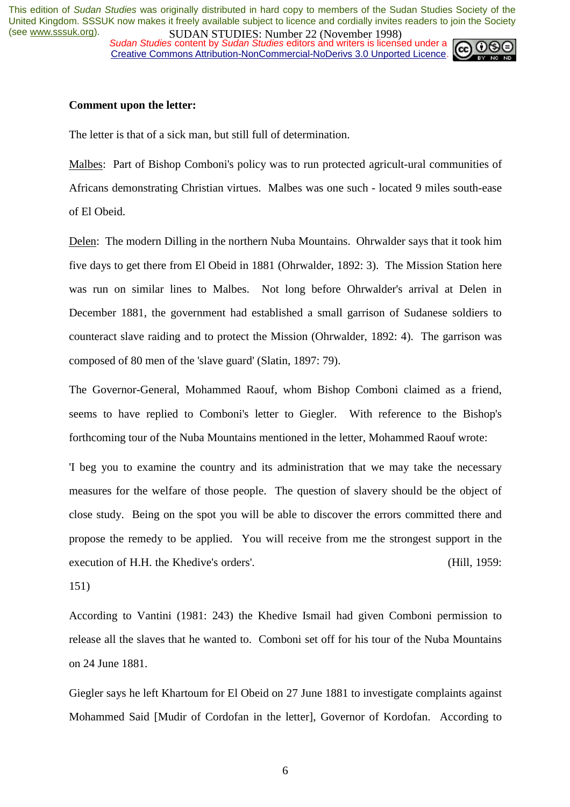*Sudan Studies* content by *Sudan Studies* editors and writers is licensed under a Creative Commons Attribution-NonCommercial-NoDerivs 3.0 Unported Licence.



#### **Comment upon the letter:**

The letter is that of a sick man, but still full of determination.

Malbes: Part of Bishop Comboni's policy was to run protected agricult-ural communities of Africans demonstrating Christian virtues. Malbes was one such - located 9 miles south-ease of El Obeid.

Delen: The modern Dilling in the northern Nuba Mountains. Ohrwalder says that it took him five days to get there from El Obeid in 1881 (Ohrwalder, 1892: 3). The Mission Station here was run on similar lines to Malbes. Not long before Ohrwalder's arrival at Delen in December 1881, the government had established a small garrison of Sudanese soldiers to counteract slave raiding and to protect the Mission (Ohrwalder, 1892: 4). The garrison was composed of 80 men of the 'slave guard' (Slatin, 1897: 79).

The Governor-General, Mohammed Raouf, whom Bishop Comboni claimed as a friend, seems to have replied to Comboni's letter to Giegler. With reference to the Bishop's forthcoming tour of the Nuba Mountains mentioned in the letter, Mohammed Raouf wrote:

'I beg you to examine the country and its administration that we may take the necessary measures for the welfare of those people. The question of slavery should be the object of close study. Being on the spot you will be able to discover the errors committed there and propose the remedy to be applied. You will receive from me the strongest support in the execution of H.H. the Khedive's orders'. (Hill, 1959:

151)

According to Vantini (1981: 243) the Khedive Ismail had given Comboni permission to release all the slaves that he wanted to. Comboni set off for his tour of the Nuba Mountains on 24 June 1881.

Giegler says he left Khartoum for El Obeid on 27 June 1881 to investigate complaints against Mohammed Said [Mudir of Cordofan in the letter], Governor of Kordofan. According to

6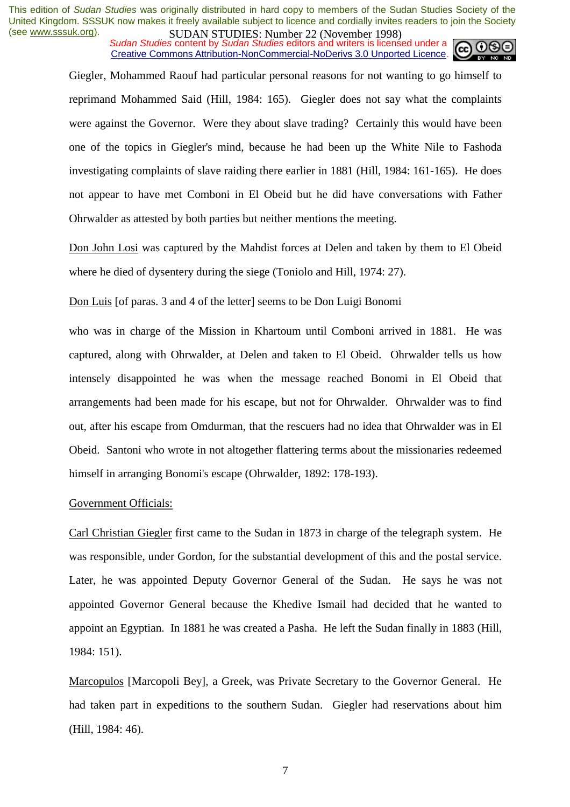*SUDAN STUDIES*: Number 22 (November 1776)<br>Sudan Studies content by *Sudan Studies* editors and writers is licensed under a Creative Commons Attribution-NonCommercial-NoDerivs 3.0 Unported Licence.



Giegler, Mohammed Raouf had particular personal reasons for not wanting to go himself to reprimand Mohammed Said (Hill, 1984: 165). Giegler does not say what the complaints were against the Governor. Were they about slave trading? Certainly this would have been one of the topics in Giegler's mind, because he had been up the White Nile to Fashoda investigating complaints of slave raiding there earlier in 1881 (Hill, 1984: 161-165). He does not appear to have met Comboni in El Obeid but he did have conversations with Father Ohrwalder as attested by both parties but neither mentions the meeting.

Don John Losi was captured by the Mahdist forces at Delen and taken by them to El Obeid where he died of dysentery during the siege (Toniolo and Hill, 1974: 27).

Don Luis [of paras. 3 and 4 of the letter] seems to be Don Luigi Bonomi

who was in charge of the Mission in Khartoum until Comboni arrived in 1881. He was captured, along with Ohrwalder, at Delen and taken to El Obeid. Ohrwalder tells us how intensely disappointed he was when the message reached Bonomi in El Obeid that arrangements had been made for his escape, but not for Ohrwalder. Ohrwalder was to find out, after his escape from Omdurman, that the rescuers had no idea that Ohrwalder was in El Obeid. Santoni who wrote in not altogether flattering terms about the missionaries redeemed himself in arranging Bonomi's escape (Ohrwalder, 1892: 178-193).

## Government Officials:

Carl Christian Giegler first came to the Sudan in 1873 in charge of the telegraph system. He was responsible, under Gordon, for the substantial development of this and the postal service. Later, he was appointed Deputy Governor General of the Sudan. He says he was not appointed Governor General because the Khedive Ismail had decided that he wanted to appoint an Egyptian. In 1881 he was created a Pasha. He left the Sudan finally in 1883 (Hill, 1984: 151).

Marcopulos [Marcopoli Bey], a Greek, was Private Secretary to the Governor General. He had taken part in expeditions to the southern Sudan. Giegler had reservations about him (Hill, 1984: 46).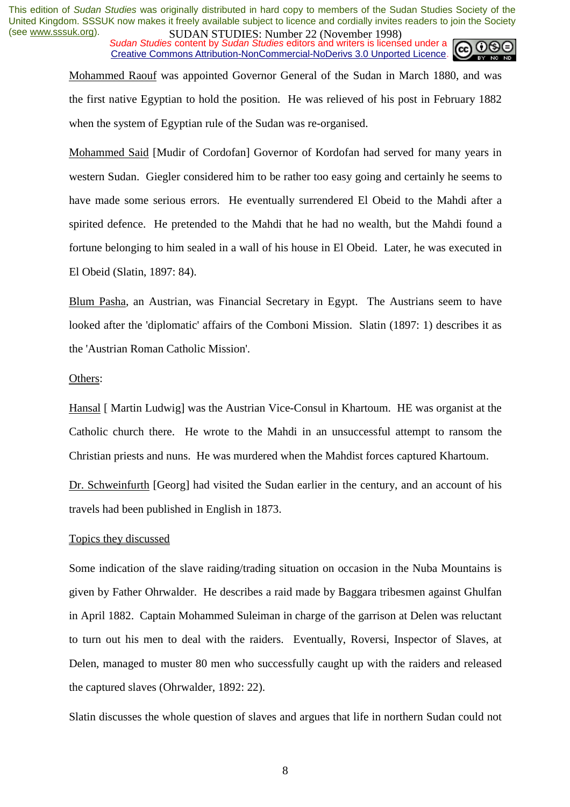*Sudan Studies* content by *Sudan Studies* editors and writers is licensed under a Creative Commons Attribution-NonCommercial-NoDerivs 3.0 Unported Licence.



Mohammed Raouf was appointed Governor General of the Sudan in March 1880, and was the first native Egyptian to hold the position. He was relieved of his post in February 1882 when the system of Egyptian rule of the Sudan was re-organised.

Mohammed Said [Mudir of Cordofan] Governor of Kordofan had served for many years in western Sudan. Giegler considered him to be rather too easy going and certainly he seems to have made some serious errors. He eventually surrendered El Obeid to the Mahdi after a spirited defence. He pretended to the Mahdi that he had no wealth, but the Mahdi found a fortune belonging to him sealed in a wall of his house in El Obeid. Later, he was executed in El Obeid (Slatin, 1897: 84).

Blum Pasha, an Austrian, was Financial Secretary in Egypt. The Austrians seem to have looked after the 'diplomatic' affairs of the Comboni Mission. Slatin (1897: 1) describes it as the 'Austrian Roman Catholic Mission'.

## Others:

Hansal [ Martin Ludwig] was the Austrian Vice-Consul in Khartoum. HE was organist at the Catholic church there. He wrote to the Mahdi in an unsuccessful attempt to ransom the Christian priests and nuns. He was murdered when the Mahdist forces captured Khartoum.

Dr. Schweinfurth [Georg] had visited the Sudan earlier in the century, and an account of his travels had been published in English in 1873.

#### Topics they discussed

Some indication of the slave raiding/trading situation on occasion in the Nuba Mountains is given by Father Ohrwalder. He describes a raid made by Baggara tribesmen against Ghulfan in April 1882. Captain Mohammed Suleiman in charge of the garrison at Delen was reluctant to turn out his men to deal with the raiders. Eventually, Roversi, Inspector of Slaves, at Delen, managed to muster 80 men who successfully caught up with the raiders and released the captured slaves (Ohrwalder, 1892: 22).

Slatin discusses the whole question of slaves and argues that life in northern Sudan could not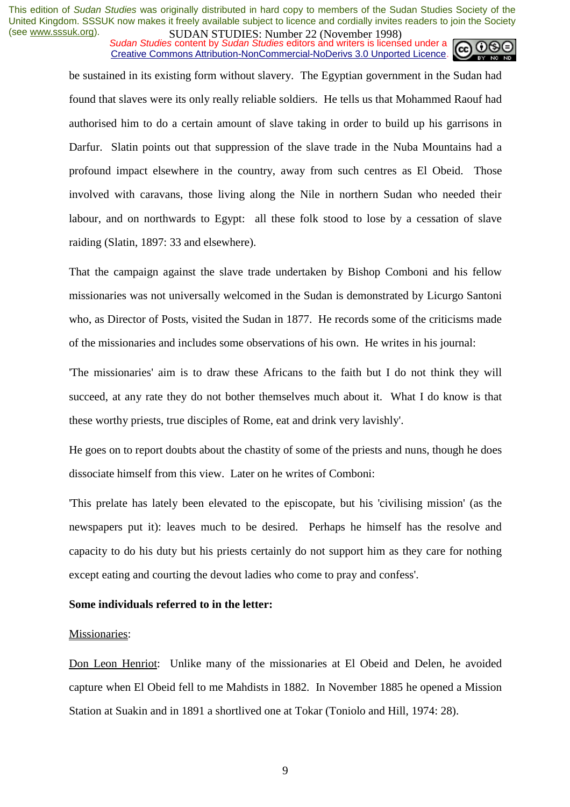*Sudan Studies* content by *Sudan Studies* editors and writers is licensed under a Creative Commons Attribution-NonCommercial-NoDerivs 3.0 Unported Licence.



be sustained in its existing form without slavery. The Egyptian government in the Sudan had found that slaves were its only really reliable soldiers. He tells us that Mohammed Raouf had authorised him to do a certain amount of slave taking in order to build up his garrisons in Darfur. Slatin points out that suppression of the slave trade in the Nuba Mountains had a profound impact elsewhere in the country, away from such centres as El Obeid. Those involved with caravans, those living along the Nile in northern Sudan who needed their labour, and on northwards to Egypt: all these folk stood to lose by a cessation of slave raiding (Slatin, 1897: 33 and elsewhere).

That the campaign against the slave trade undertaken by Bishop Comboni and his fellow missionaries was not universally welcomed in the Sudan is demonstrated by Licurgo Santoni who, as Director of Posts, visited the Sudan in 1877. He records some of the criticisms made of the missionaries and includes some observations of his own. He writes in his journal:

'The missionaries' aim is to draw these Africans to the faith but I do not think they will succeed, at any rate they do not bother themselves much about it. What I do know is that these worthy priests, true disciples of Rome, eat and drink very lavishly'.

He goes on to report doubts about the chastity of some of the priests and nuns, though he does dissociate himself from this view. Later on he writes of Comboni:

'This prelate has lately been elevated to the episcopate, but his 'civilising mission' (as the newspapers put it): leaves much to be desired. Perhaps he himself has the resolve and capacity to do his duty but his priests certainly do not support him as they care for nothing except eating and courting the devout ladies who come to pray and confess'.

## **Some individuals referred to in the letter:**

#### Missionaries:

Don Leon Henriot: Unlike many of the missionaries at El Obeid and Delen, he avoided capture when El Obeid fell to me Mahdists in 1882. In November 1885 he opened a Mission Station at Suakin and in 1891 a shortlived one at Tokar (Toniolo and Hill, 1974: 28).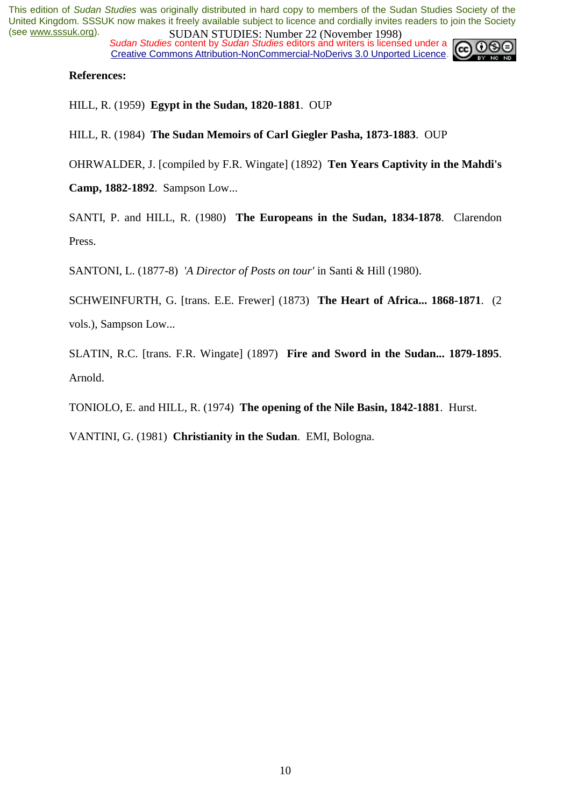*Sudan Studies* content by *Sudan Studies* editors and writers is licensed under a Creative Commons Attribution-NonCommercial-NoDerivs 3.0 Unported Licence.



## **References:**

HILL, R. (1959) **Egypt in the Sudan, 1820-1881**. OUP

HILL, R. (1984) **The Sudan Memoirs of Carl Giegler Pasha, 1873-1883**. OUP

OHRWALDER, J. [compiled by F.R. Wingate] (1892) **Ten Years Captivity in the Mahdi's** 

**Camp, 1882-1892**. Sampson Low...

SANTI, P. and HILL, R. (1980) **The Europeans in the Sudan, 1834-1878**. Clarendon Press.

SANTONI, L. (1877-8) *'A Director of Posts on tour'* in Santi & Hill (1980).

SCHWEINFURTH, G. [trans. E.E. Frewer] (1873) **The Heart of Africa... 1868-1871**. (2 vols.), Sampson Low...

SLATIN, R.C. [trans. F.R. Wingate] (1897) **Fire and Sword in the Sudan... 1879-1895**. Arnold.

TONIOLO, E. and HILL, R. (1974) **The opening of the Nile Basin, 1842-1881**. Hurst.

VANTINI, G. (1981) **Christianity in the Sudan**. EMI, Bologna.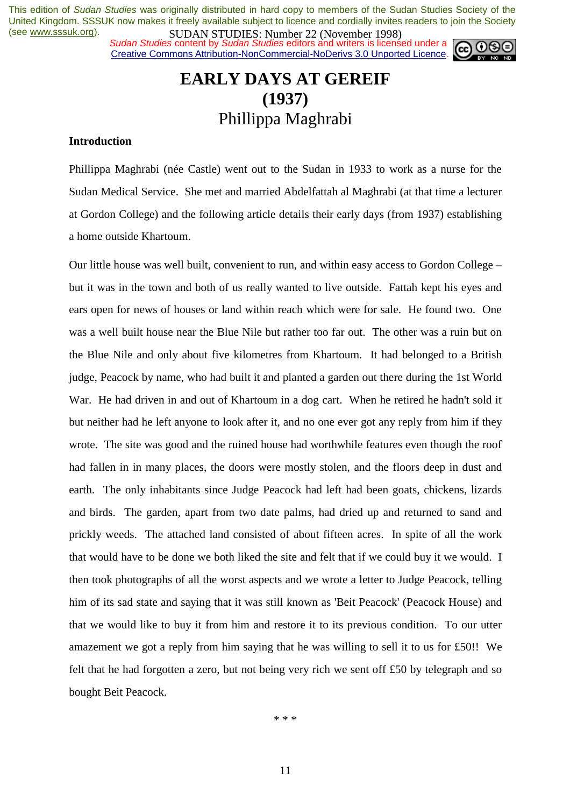**SUDAN STUDIES. INDUCE 22 (INOVERTIGE)**<br>Sudan Studies content by Sudan Studies editors and writers is licensed under a Creative Commons Attribution-NonCommercial-NoDerivs 3.0 Unported Licence.



## **EARLY DAYS AT GEREIF (1937)**  Phillippa Maghrabi

## **Introduction**

Phillippa Maghrabi (née Castle) went out to the Sudan in 1933 to work as a nurse for the Sudan Medical Service. She met and married Abdelfattah al Maghrabi (at that time a lecturer at Gordon College) and the following article details their early days (from 1937) establishing a home outside Khartoum.

Our little house was well built, convenient to run, and within easy access to Gordon College – but it was in the town and both of us really wanted to live outside. Fattah kept his eyes and ears open for news of houses or land within reach which were for sale. He found two. One was a well built house near the Blue Nile but rather too far out. The other was a ruin but on the Blue Nile and only about five kilometres from Khartoum. It had belonged to a British judge, Peacock by name, who had built it and planted a garden out there during the 1st World War. He had driven in and out of Khartoum in a dog cart. When he retired he hadn't sold it but neither had he left anyone to look after it, and no one ever got any reply from him if they wrote. The site was good and the ruined house had worthwhile features even though the roof had fallen in in many places, the doors were mostly stolen, and the floors deep in dust and earth. The only inhabitants since Judge Peacock had left had been goats, chickens, lizards and birds. The garden, apart from two date palms, had dried up and returned to sand and prickly weeds. The attached land consisted of about fifteen acres. In spite of all the work that would have to be done we both liked the site and felt that if we could buy it we would. I then took photographs of all the worst aspects and we wrote a letter to Judge Peacock, telling him of its sad state and saying that it was still known as 'Beit Peacock' (Peacock House) and that we would like to buy it from him and restore it to its previous condition. To our utter amazement we got a reply from him saying that he was willing to sell it to us for £50!! We felt that he had forgotten a zero, but not being very rich we sent off £50 by telegraph and so bought Beit Peacock.

\* \* \*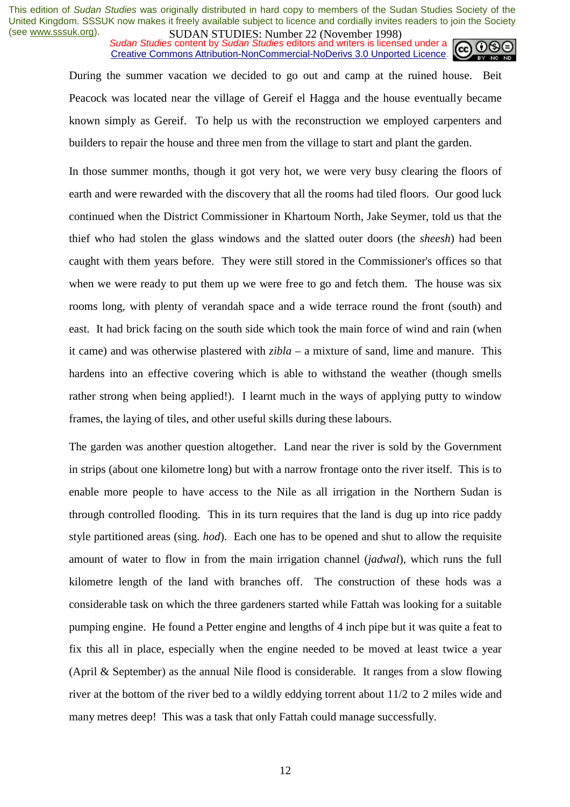*SUDAN STUDIES*, Number 22 GWYCHOOL 1226 Sudan Studies content by *Sudan Studies* editors and writers is licensed under a Creative Commons Attribution-NonCommercial-NoDerivs 3.0 Unported Licence.



During the summer vacation we decided to go out and camp at the ruined house. Beit Peacock was located near the village of Gereif el Hagga and the house eventually became known simply as Gereif. To help us with the reconstruction we employed carpenters and builders to repair the house and three men from the village to start and plant the garden.

In those summer months, though it got very hot, we were very busy clearing the floors of earth and were rewarded with the discovery that all the rooms had tiled floors. Our good luck continued when the District Commissioner in Khartoum North, Jake Seymer, told us that the thief who had stolen the glass windows and the slatted outer doors (the *sheesh*) had been caught with them years before. They were still stored in the Commissioner's offices so that when we were ready to put them up we were free to go and fetch them. The house was six rooms long, with plenty of verandah space and a wide terrace round the front (south) and east. It had brick facing on the south side which took the main force of wind and rain (when it came) and was otherwise plastered with *zibla* – a mixture of sand, lime and manure. This hardens into an effective covering which is able to withstand the weather (though smells rather strong when being applied!). I learnt much in the ways of applying putty to window frames, the laying of tiles, and other useful skills during these labours.

The garden was another question altogether. Land near the river is sold by the Government in strips (about one kilometre long) but with a narrow frontage onto the river itself. This is to enable more people to have access to the Nile as all irrigation in the Northern Sudan is through controlled flooding. This in its turn requires that the land is dug up into rice paddy style partitioned areas (sing. *hod*). Each one has to be opened and shut to allow the requisite amount of water to flow in from the main irrigation channel (*jadwal*), which runs the full kilometre length of the land with branches off. The construction of these hods was a considerable task on which the three gardeners started while Fattah was looking for a suitable pumping engine. He found a Petter engine and lengths of 4 inch pipe but it was quite a feat to fix this all in place, especially when the engine needed to be moved at least twice a year (April & September) as the annual Nile flood is considerable. It ranges from a slow flowing river at the bottom of the river bed to a wildly eddying torrent about 11/2 to 2 miles wide and many metres deep! This was a task that only Fattah could manage successfully.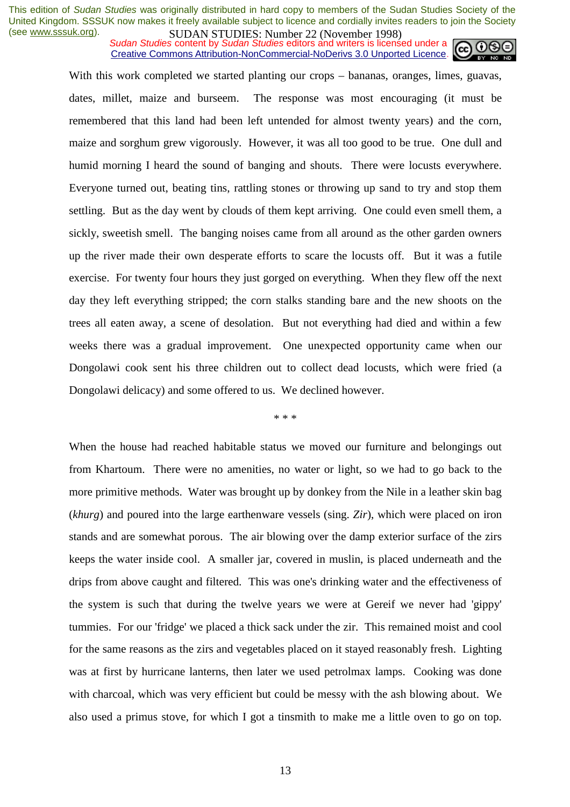**SUDAN STUDIES:** Number 22 (interactional studies and writers in the sudan Studies content by *Sudan Studies* editors and writers is licensed under a Creative Commons Attribution-NonCommercial-NoDerivs 3.0 Unported Licence.



With this work completed we started planting our crops – bananas, oranges, limes, guavas, dates, millet, maize and burseem. The response was most encouraging (it must be remembered that this land had been left untended for almost twenty years) and the corn, maize and sorghum grew vigorously. However, it was all too good to be true. One dull and humid morning I heard the sound of banging and shouts. There were locusts everywhere. Everyone turned out, beating tins, rattling stones or throwing up sand to try and stop them settling. But as the day went by clouds of them kept arriving. One could even smell them, a sickly, sweetish smell. The banging noises came from all around as the other garden owners up the river made their own desperate efforts to scare the locusts off. But it was a futile exercise. For twenty four hours they just gorged on everything. When they flew off the next day they left everything stripped; the corn stalks standing bare and the new shoots on the trees all eaten away, a scene of desolation. But not everything had died and within a few weeks there was a gradual improvement. One unexpected opportunity came when our Dongolawi cook sent his three children out to collect dead locusts, which were fried (a Dongolawi delicacy) and some offered to us. We declined however.

\* \* \*

When the house had reached habitable status we moved our furniture and belongings out from Khartoum. There were no amenities, no water or light, so we had to go back to the more primitive methods. Water was brought up by donkey from the Nile in a leather skin bag (*khurg*) and poured into the large earthenware vessels (sing. *Zir*), which were placed on iron stands and are somewhat porous. The air blowing over the damp exterior surface of the zirs keeps the water inside cool. A smaller jar, covered in muslin, is placed underneath and the drips from above caught and filtered. This was one's drinking water and the effectiveness of the system is such that during the twelve years we were at Gereif we never had 'gippy' tummies. For our 'fridge' we placed a thick sack under the zir. This remained moist and cool for the same reasons as the zirs and vegetables placed on it stayed reasonably fresh. Lighting was at first by hurricane lanterns, then later we used petrolmax lamps. Cooking was done with charcoal, which was very efficient but could be messy with the ash blowing about. We also used a primus stove, for which I got a tinsmith to make me a little oven to go on top.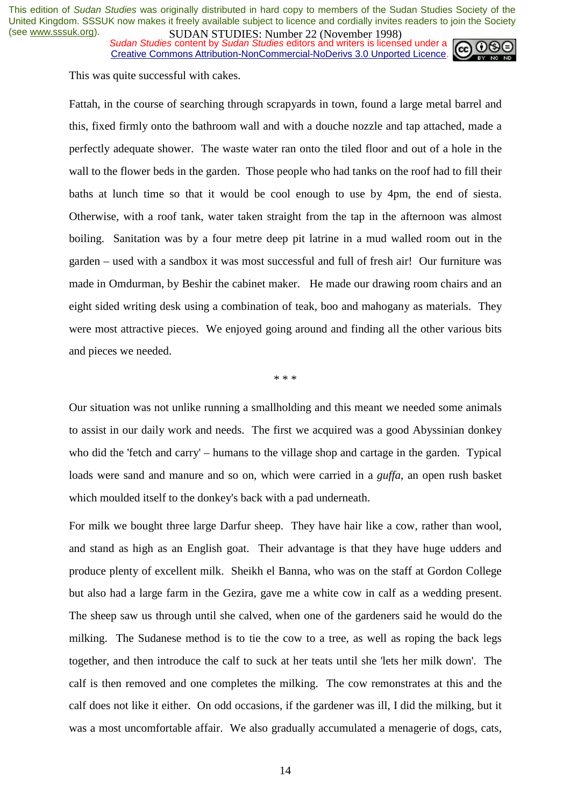*Sudan Studies* content by *Sudan Studies* editors and writers is licensed under a Creative Commons Attribution-NonCommercial-NoDerivs 3.0 Unported Licence.



This was quite successful with cakes.

Fattah, in the course of searching through scrapyards in town, found a large metal barrel and this, fixed firmly onto the bathroom wall and with a douche nozzle and tap attached, made a perfectly adequate shower. The waste water ran onto the tiled floor and out of a hole in the wall to the flower beds in the garden. Those people who had tanks on the roof had to fill their baths at lunch time so that it would be cool enough to use by 4pm, the end of siesta. Otherwise, with a roof tank, water taken straight from the tap in the afternoon was almost boiling. Sanitation was by a four metre deep pit latrine in a mud walled room out in the garden – used with a sandbox it was most successful and full of fresh air! Our furniture was made in Omdurman, by Beshir the cabinet maker. He made our drawing room chairs and an eight sided writing desk using a combination of teak, boo and mahogany as materials. They were most attractive pieces. We enjoyed going around and finding all the other various bits and pieces we needed.

\* \* \*

Our situation was not unlike running a smallholding and this meant we needed some animals to assist in our daily work and needs. The first we acquired was a good Abyssinian donkey who did the 'fetch and carry' – humans to the village shop and cartage in the garden. Typical loads were sand and manure and so on, which were carried in a *guffa*, an open rush basket which moulded itself to the donkey's back with a pad underneath.

For milk we bought three large Darfur sheep. They have hair like a cow, rather than wool, and stand as high as an English goat. Their advantage is that they have huge udders and produce plenty of excellent milk. Sheikh el Banna, who was on the staff at Gordon College but also had a large farm in the Gezira, gave me a white cow in calf as a wedding present. The sheep saw us through until she calved, when one of the gardeners said he would do the milking. The Sudanese method is to tie the cow to a tree, as well as roping the back legs together, and then introduce the calf to suck at her teats until she 'lets her milk down'. The calf is then removed and one completes the milking. The cow remonstrates at this and the calf does not like it either. On odd occasions, if the gardener was ill, I did the milking, but it was a most uncomfortable affair. We also gradually accumulated a menagerie of dogs, cats,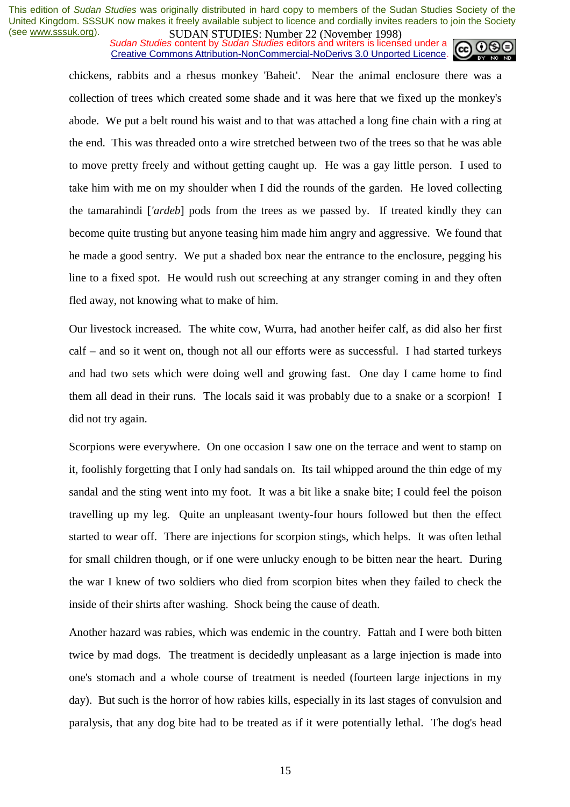*SUDAN STUDIES*. Number 22 GWYCHOOL 1226 Sudan Studies content by *Sudan Studies* editors and writers is licensed under a Creative Commons Attribution-NonCommercial-NoDerivs 3.0 Unported Licence.



chickens, rabbits and a rhesus monkey 'Baheit'. Near the animal enclosure there was a collection of trees which created some shade and it was here that we fixed up the monkey's abode. We put a belt round his waist and to that was attached a long fine chain with a ring at the end. This was threaded onto a wire stretched between two of the trees so that he was able to move pretty freely and without getting caught up. He was a gay little person. I used to take him with me on my shoulder when I did the rounds of the garden. He loved collecting the tamarahindi [*'ardeb*] pods from the trees as we passed by. If treated kindly they can become quite trusting but anyone teasing him made him angry and aggressive. We found that he made a good sentry. We put a shaded box near the entrance to the enclosure, pegging his line to a fixed spot. He would rush out screeching at any stranger coming in and they often fled away, not knowing what to make of him.

Our livestock increased. The white cow, Wurra, had another heifer calf, as did also her first calf – and so it went on, though not all our efforts were as successful. I had started turkeys and had two sets which were doing well and growing fast. One day I came home to find them all dead in their runs. The locals said it was probably due to a snake or a scorpion! I did not try again.

Scorpions were everywhere. On one occasion I saw one on the terrace and went to stamp on it, foolishly forgetting that I only had sandals on. Its tail whipped around the thin edge of my sandal and the sting went into my foot. It was a bit like a snake bite; I could feel the poison travelling up my leg. Quite an unpleasant twenty-four hours followed but then the effect started to wear off. There are injections for scorpion stings, which helps. It was often lethal for small children though, or if one were unlucky enough to be bitten near the heart. During the war I knew of two soldiers who died from scorpion bites when they failed to check the inside of their shirts after washing. Shock being the cause of death.

Another hazard was rabies, which was endemic in the country. Fattah and I were both bitten twice by mad dogs. The treatment is decidedly unpleasant as a large injection is made into one's stomach and a whole course of treatment is needed (fourteen large injections in my day). But such is the horror of how rabies kills, especially in its last stages of convulsion and paralysis, that any dog bite had to be treated as if it were potentially lethal. The dog's head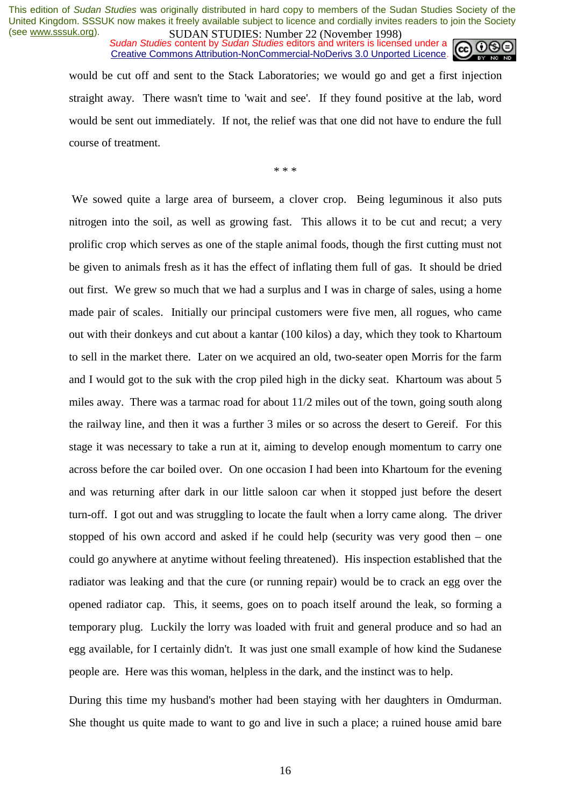*SUDAN STUDIES*, Number 22 GWYCHOOL 1226 Sudan Studies content by *Sudan Studies* editors and writers is licensed under a Creative Commons Attribution-NonCommercial-NoDerivs 3.0 Unported Licence.



would be cut off and sent to the Stack Laboratories; we would go and get a first injection straight away. There wasn't time to 'wait and see'. If they found positive at the lab, word would be sent out immediately. If not, the relief was that one did not have to endure the full course of treatment.

\* \* \*

 We sowed quite a large area of burseem, a clover crop. Being leguminous it also puts nitrogen into the soil, as well as growing fast. This allows it to be cut and recut; a very prolific crop which serves as one of the staple animal foods, though the first cutting must not be given to animals fresh as it has the effect of inflating them full of gas. It should be dried out first. We grew so much that we had a surplus and I was in charge of sales, using a home made pair of scales. Initially our principal customers were five men, all rogues, who came out with their donkeys and cut about a kantar (100 kilos) a day, which they took to Khartoum to sell in the market there. Later on we acquired an old, two-seater open Morris for the farm and I would got to the suk with the crop piled high in the dicky seat. Khartoum was about 5 miles away. There was a tarmac road for about 11/2 miles out of the town, going south along the railway line, and then it was a further 3 miles or so across the desert to Gereif. For this stage it was necessary to take a run at it, aiming to develop enough momentum to carry one across before the car boiled over. On one occasion I had been into Khartoum for the evening and was returning after dark in our little saloon car when it stopped just before the desert turn-off. I got out and was struggling to locate the fault when a lorry came along. The driver stopped of his own accord and asked if he could help (security was very good then – one could go anywhere at anytime without feeling threatened). His inspection established that the radiator was leaking and that the cure (or running repair) would be to crack an egg over the opened radiator cap. This, it seems, goes on to poach itself around the leak, so forming a temporary plug. Luckily the lorry was loaded with fruit and general produce and so had an egg available, for I certainly didn't. It was just one small example of how kind the Sudanese people are. Here was this woman, helpless in the dark, and the instinct was to help.

During this time my husband's mother had been staying with her daughters in Omdurman. She thought us quite made to want to go and live in such a place; a ruined house amid bare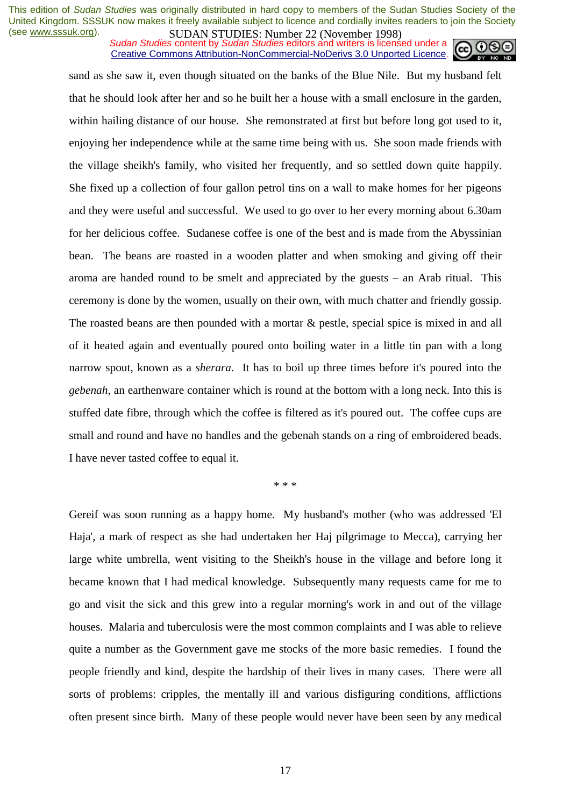*SUDAN STUDIES*, Number 22 GWYCHOOL 1226 Sudan Studies content by *Sudan Studies* editors and writers is licensed under a Creative Commons Attribution-NonCommercial-NoDerivs 3.0 Unported Licence.



sand as she saw it, even though situated on the banks of the Blue Nile. But my husband felt that he should look after her and so he built her a house with a small enclosure in the garden, within hailing distance of our house. She remonstrated at first but before long got used to it, enjoying her independence while at the same time being with us. She soon made friends with the village sheikh's family, who visited her frequently, and so settled down quite happily. She fixed up a collection of four gallon petrol tins on a wall to make homes for her pigeons and they were useful and successful. We used to go over to her every morning about 6.30am for her delicious coffee. Sudanese coffee is one of the best and is made from the Abyssinian bean. The beans are roasted in a wooden platter and when smoking and giving off their aroma are handed round to be smelt and appreciated by the guests – an Arab ritual. This ceremony is done by the women, usually on their own, with much chatter and friendly gossip. The roasted beans are then pounded with a mortar & pestle, special spice is mixed in and all of it heated again and eventually poured onto boiling water in a little tin pan with a long narrow spout, known as a *sherara*. It has to boil up three times before it's poured into the *gebenah*, an earthenware container which is round at the bottom with a long neck. Into this is stuffed date fibre, through which the coffee is filtered as it's poured out. The coffee cups are small and round and have no handles and the gebenah stands on a ring of embroidered beads. I have never tasted coffee to equal it.

\* \* \*

Gereif was soon running as a happy home. My husband's mother (who was addressed 'El Haja', a mark of respect as she had undertaken her Haj pilgrimage to Mecca), carrying her large white umbrella, went visiting to the Sheikh's house in the village and before long it became known that I had medical knowledge. Subsequently many requests came for me to go and visit the sick and this grew into a regular morning's work in and out of the village houses. Malaria and tuberculosis were the most common complaints and I was able to relieve quite a number as the Government gave me stocks of the more basic remedies. I found the people friendly and kind, despite the hardship of their lives in many cases. There were all sorts of problems: cripples, the mentally ill and various disfiguring conditions, afflictions often present since birth. Many of these people would never have been seen by any medical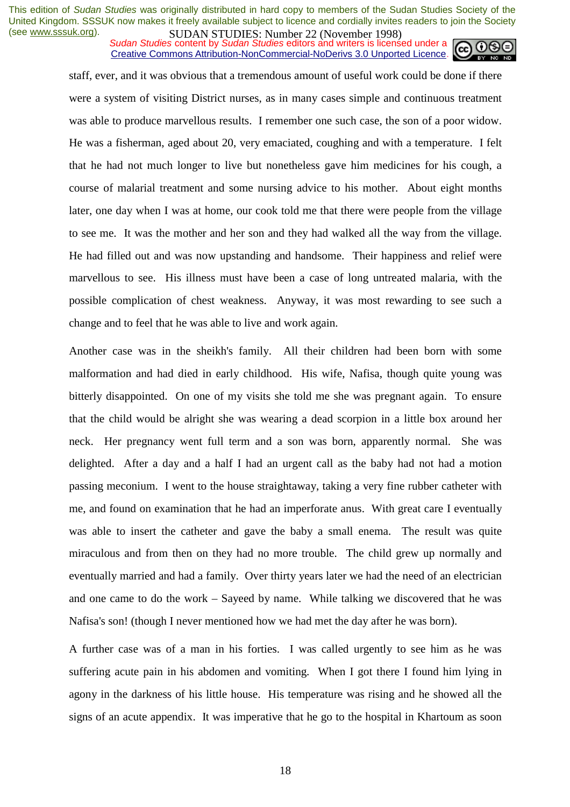*SUDAN STUDIES*, Number 22 GWYCHOOL 1226 Sudan Studies content by *Sudan Studies* editors and writers is licensed under a Creative Commons Attribution-NonCommercial-NoDerivs 3.0 Unported Licence.



staff, ever, and it was obvious that a tremendous amount of useful work could be done if there were a system of visiting District nurses, as in many cases simple and continuous treatment was able to produce marvellous results. I remember one such case, the son of a poor widow. He was a fisherman, aged about 20, very emaciated, coughing and with a temperature. I felt that he had not much longer to live but nonetheless gave him medicines for his cough, a course of malarial treatment and some nursing advice to his mother. About eight months later, one day when I was at home, our cook told me that there were people from the village to see me. It was the mother and her son and they had walked all the way from the village. He had filled out and was now upstanding and handsome. Their happiness and relief were marvellous to see. His illness must have been a case of long untreated malaria, with the possible complication of chest weakness. Anyway, it was most rewarding to see such a change and to feel that he was able to live and work again.

Another case was in the sheikh's family. All their children had been born with some malformation and had died in early childhood. His wife, Nafisa, though quite young was bitterly disappointed. On one of my visits she told me she was pregnant again. To ensure that the child would be alright she was wearing a dead scorpion in a little box around her neck. Her pregnancy went full term and a son was born, apparently normal. She was delighted. After a day and a half I had an urgent call as the baby had not had a motion passing meconium. I went to the house straightaway, taking a very fine rubber catheter with me, and found on examination that he had an imperforate anus. With great care I eventually was able to insert the catheter and gave the baby a small enema. The result was quite miraculous and from then on they had no more trouble. The child grew up normally and eventually married and had a family. Over thirty years later we had the need of an electrician and one came to do the work – Sayeed by name. While talking we discovered that he was Nafisa's son! (though I never mentioned how we had met the day after he was born).

A further case was of a man in his forties. I was called urgently to see him as he was suffering acute pain in his abdomen and vomiting. When I got there I found him lying in agony in the darkness of his little house. His temperature was rising and he showed all the signs of an acute appendix. It was imperative that he go to the hospital in Khartoum as soon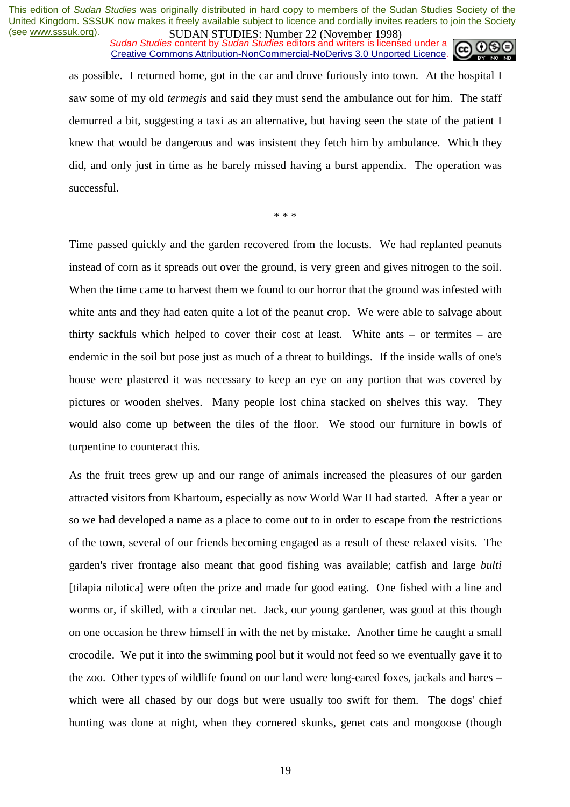**SUDAN STUDIES**. Number 22 (interactional 1776)<br>Sudan Studies content by Sudan Studies editors and writers is licensed under a Creative Commons Attribution-NonCommercial-NoDerivs 3.0 Unported Licence.



as possible. I returned home, got in the car and drove furiously into town. At the hospital I saw some of my old *termegis* and said they must send the ambulance out for him. The staff demurred a bit, suggesting a taxi as an alternative, but having seen the state of the patient I knew that would be dangerous and was insistent they fetch him by ambulance. Which they did, and only just in time as he barely missed having a burst appendix. The operation was successful.

\* \* \*

Time passed quickly and the garden recovered from the locusts. We had replanted peanuts instead of corn as it spreads out over the ground, is very green and gives nitrogen to the soil. When the time came to harvest them we found to our horror that the ground was infested with white ants and they had eaten quite a lot of the peanut crop. We were able to salvage about thirty sackfuls which helped to cover their cost at least. White ants – or termites – are endemic in the soil but pose just as much of a threat to buildings. If the inside walls of one's house were plastered it was necessary to keep an eye on any portion that was covered by pictures or wooden shelves. Many people lost china stacked on shelves this way. They would also come up between the tiles of the floor. We stood our furniture in bowls of turpentine to counteract this.

As the fruit trees grew up and our range of animals increased the pleasures of our garden attracted visitors from Khartoum, especially as now World War II had started. After a year or so we had developed a name as a place to come out to in order to escape from the restrictions of the town, several of our friends becoming engaged as a result of these relaxed visits. The garden's river frontage also meant that good fishing was available; catfish and large *bulti* [tilapia nilotica] were often the prize and made for good eating. One fished with a line and worms or, if skilled, with a circular net. Jack, our young gardener, was good at this though on one occasion he threw himself in with the net by mistake. Another time he caught a small crocodile. We put it into the swimming pool but it would not feed so we eventually gave it to the zoo. Other types of wildlife found on our land were long-eared foxes, jackals and hares – which were all chased by our dogs but were usually too swift for them. The dogs' chief hunting was done at night, when they cornered skunks, genet cats and mongoose (though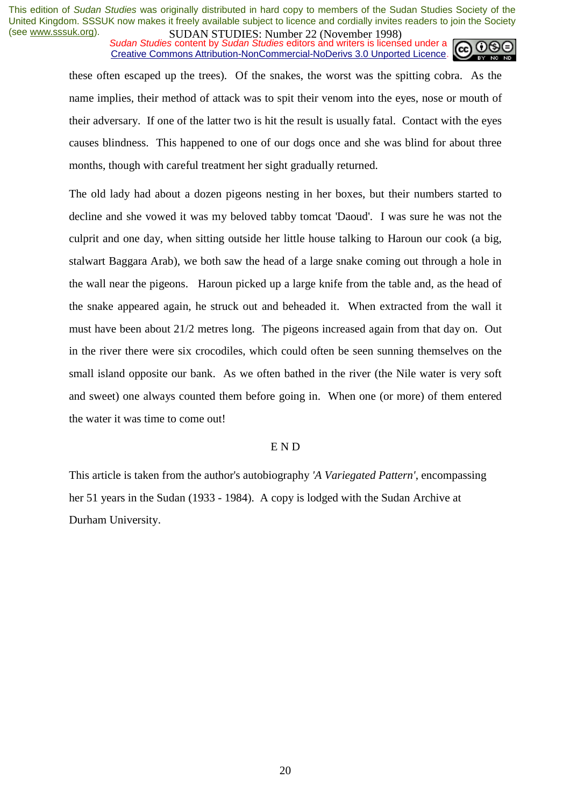*SUDAN STUDIES*, Number 22 GWYCHOOL 1226 Sudan Studies content by *Sudan Studies* editors and writers is licensed under a Creative Commons Attribution-NonCommercial-NoDerivs 3.0 Unported Licence.



these often escaped up the trees). Of the snakes, the worst was the spitting cobra. As the name implies, their method of attack was to spit their venom into the eyes, nose or mouth of their adversary. If one of the latter two is hit the result is usually fatal. Contact with the eyes causes blindness. This happened to one of our dogs once and she was blind for about three months, though with careful treatment her sight gradually returned.

The old lady had about a dozen pigeons nesting in her boxes, but their numbers started to decline and she vowed it was my beloved tabby tomcat 'Daoud'. I was sure he was not the culprit and one day, when sitting outside her little house talking to Haroun our cook (a big, stalwart Baggara Arab), we both saw the head of a large snake coming out through a hole in the wall near the pigeons. Haroun picked up a large knife from the table and, as the head of the snake appeared again, he struck out and beheaded it. When extracted from the wall it must have been about 21/2 metres long. The pigeons increased again from that day on. Out in the river there were six crocodiles, which could often be seen sunning themselves on the small island opposite our bank. As we often bathed in the river (the Nile water is very soft and sweet) one always counted them before going in. When one (or more) of them entered the water it was time to come out!

#### E N D

This article is taken from the author's autobiography *'A Variegated Pattern'*, encompassing her 51 years in the Sudan (1933 - 1984). A copy is lodged with the Sudan Archive at Durham University.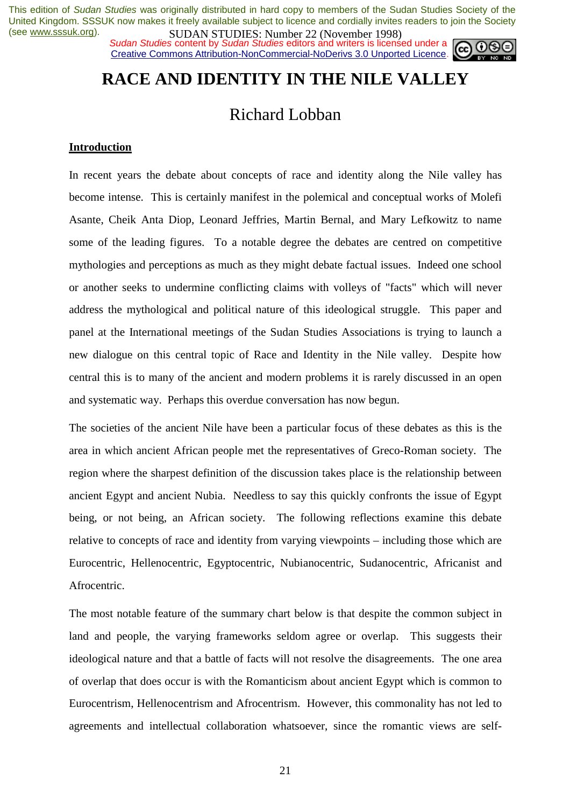**SUDAN STUDIES.** Number 22 (inversion 1999)<br>Sudan Studies content by Sudan Studies editors and writers is licensed under a Creative Commons Attribution-NonCommercial-NoDerivs 3.0 Unported Licence.



## **RACE AND IDENTITY IN THE NILE VALLEY**

## Richard Lobban

#### **Introduction**

In recent years the debate about concepts of race and identity along the Nile valley has become intense. This is certainly manifest in the polemical and conceptual works of Molefi Asante, Cheik Anta Diop, Leonard Jeffries, Martin Bernal, and Mary Lefkowitz to name some of the leading figures. To a notable degree the debates are centred on competitive mythologies and perceptions as much as they might debate factual issues. Indeed one school or another seeks to undermine conflicting claims with volleys of "facts" which will never address the mythological and political nature of this ideological struggle. This paper and panel at the International meetings of the Sudan Studies Associations is trying to launch a new dialogue on this central topic of Race and Identity in the Nile valley. Despite how central this is to many of the ancient and modern problems it is rarely discussed in an open and systematic way. Perhaps this overdue conversation has now begun.

The societies of the ancient Nile have been a particular focus of these debates as this is the area in which ancient African people met the representatives of Greco-Roman society. The region where the sharpest definition of the discussion takes place is the relationship between ancient Egypt and ancient Nubia. Needless to say this quickly confronts the issue of Egypt being, or not being, an African society. The following reflections examine this debate relative to concepts of race and identity from varying viewpoints – including those which are Eurocentric, Hellenocentric, Egyptocentric, Nubianocentric, Sudanocentric, Africanist and Afrocentric.

The most notable feature of the summary chart below is that despite the common subject in land and people, the varying frameworks seldom agree or overlap. This suggests their ideological nature and that a battle of facts will not resolve the disagreements. The one area of overlap that does occur is with the Romanticism about ancient Egypt which is common to Eurocentrism, Hellenocentrism and Afrocentrism. However, this commonality has not led to agreements and intellectual collaboration whatsoever, since the romantic views are self-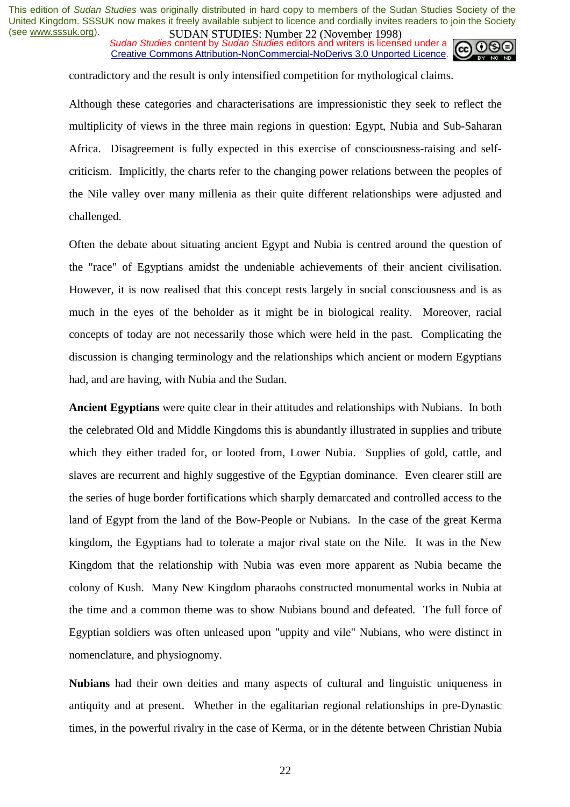**SUDAN STUDIES.** Number 22 (inversion 1770)<br>Sudan Studies content by Sudan Studies editors and writers is licensed under a Creative Commons Attribution-NonCommercial-NoDerivs 3.0 Unported Licence.



contradictory and the result is only intensified competition for mythological claims.

Although these categories and characterisations are impressionistic they seek to reflect the multiplicity of views in the three main regions in question: Egypt, Nubia and Sub-Saharan Africa. Disagreement is fully expected in this exercise of consciousness-raising and selfcriticism. Implicitly, the charts refer to the changing power relations between the peoples of the Nile valley over many millenia as their quite different relationships were adjusted and challenged.

Often the debate about situating ancient Egypt and Nubia is centred around the question of the "race" of Egyptians amidst the undeniable achievements of their ancient civilisation. However, it is now realised that this concept rests largely in social consciousness and is as much in the eyes of the beholder as it might be in biological reality. Moreover, racial concepts of today are not necessarily those which were held in the past. Complicating the discussion is changing terminology and the relationships which ancient or modern Egyptians had, and are having, with Nubia and the Sudan.

**Ancient Egyptians** were quite clear in their attitudes and relationships with Nubians. In both the celebrated Old and Middle Kingdoms this is abundantly illustrated in supplies and tribute which they either traded for, or looted from, Lower Nubia. Supplies of gold, cattle, and slaves are recurrent and highly suggestive of the Egyptian dominance. Even clearer still are the series of huge border fortifications which sharply demarcated and controlled access to the land of Egypt from the land of the Bow-People or Nubians. In the case of the great Kerma kingdom, the Egyptians had to tolerate a major rival state on the Nile. It was in the New Kingdom that the relationship with Nubia was even more apparent as Nubia became the colony of Kush. Many New Kingdom pharaohs constructed monumental works in Nubia at the time and a common theme was to show Nubians bound and defeated. The full force of Egyptian soldiers was often unleased upon "uppity and vile" Nubians, who were distinct in nomenclature, and physiognomy.

**Nubians** had their own deities and many aspects of cultural and linguistic uniqueness in antiquity and at present. Whether in the egalitarian regional relationships in pre-Dynastic times, in the powerful rivalry in the case of Kerma, or in the détente between Christian Nubia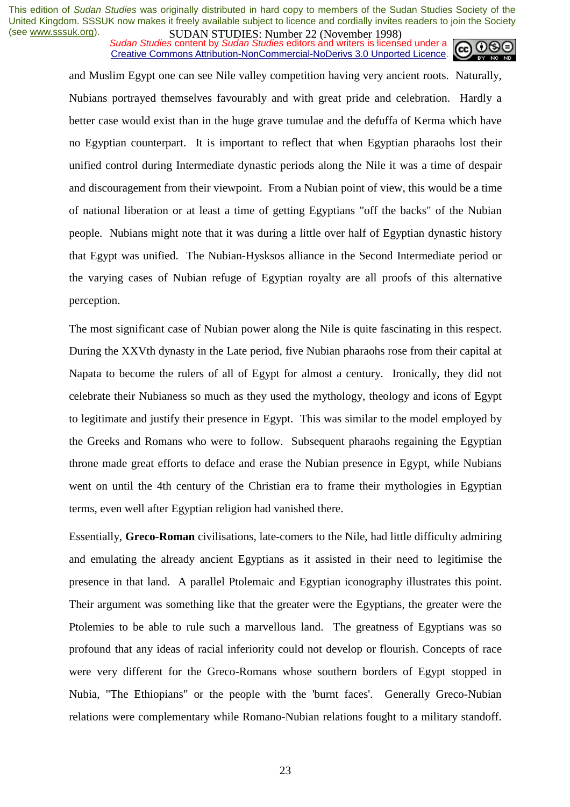**SUDAN STUDIES**. Number 22 (interactional 1776)<br>Sudan Studies content by Sudan Studies editors and writers is licensed under a Creative Commons Attribution-NonCommercial-NoDerivs 3.0 Unported Licence.



and Muslim Egypt one can see Nile valley competition having very ancient roots. Naturally, Nubians portrayed themselves favourably and with great pride and celebration. Hardly a better case would exist than in the huge grave tumulae and the defuffa of Kerma which have no Egyptian counterpart. It is important to reflect that when Egyptian pharaohs lost their unified control during Intermediate dynastic periods along the Nile it was a time of despair and discouragement from their viewpoint. From a Nubian point of view, this would be a time of national liberation or at least a time of getting Egyptians "off the backs" of the Nubian people. Nubians might note that it was during a little over half of Egyptian dynastic history that Egypt was unified. The Nubian-Hysksos alliance in the Second Intermediate period or the varying cases of Nubian refuge of Egyptian royalty are all proofs of this alternative perception.

The most significant case of Nubian power along the Nile is quite fascinating in this respect. During the XXVth dynasty in the Late period, five Nubian pharaohs rose from their capital at Napata to become the rulers of all of Egypt for almost a century. Ironically, they did not celebrate their Nubianess so much as they used the mythology, theology and icons of Egypt to legitimate and justify their presence in Egypt. This was similar to the model employed by the Greeks and Romans who were to follow. Subsequent pharaohs regaining the Egyptian throne made great efforts to deface and erase the Nubian presence in Egypt, while Nubians went on until the 4th century of the Christian era to frame their mythologies in Egyptian terms, even well after Egyptian religion had vanished there.

Essentially, **Greco-Roman** civilisations, late-comers to the Nile, had little difficulty admiring and emulating the already ancient Egyptians as it assisted in their need to legitimise the presence in that land. A parallel Ptolemaic and Egyptian iconography illustrates this point. Their argument was something like that the greater were the Egyptians, the greater were the Ptolemies to be able to rule such a marvellous land. The greatness of Egyptians was so profound that any ideas of racial inferiority could not develop or flourish. Concepts of race were very different for the Greco-Romans whose southern borders of Egypt stopped in Nubia, "The Ethiopians" or the people with the 'burnt faces'. Generally Greco-Nubian relations were complementary while Romano-Nubian relations fought to a military standoff.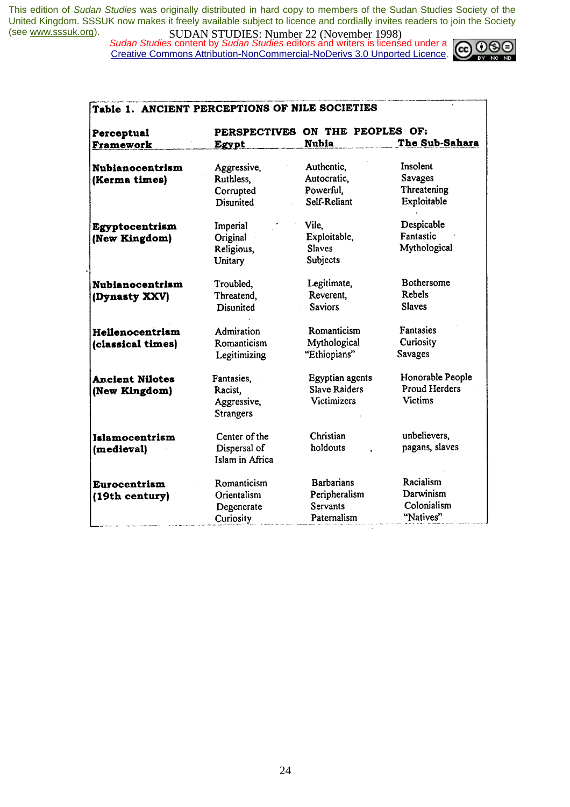*Sudan Studies* content by *Sudan Studies* editors and writers is licensed under a Creative Commons Attribution-NonCommercial-NoDerivs 3.0 Unported Licence.



| Perceptual             |                                 | PERSPECTIVES ON THE PEOPLES OF: |                      |
|------------------------|---------------------------------|---------------------------------|----------------------|
| Framework              | Egypt                           | <b>Nubia</b>                    | The Sub-Sahara       |
| <b>Nubianocentrism</b> | Aggressive,                     | Authentic,                      | Insolent             |
| (Kerma times)          | Ruthless,                       | Autocratic.                     | Savages              |
|                        | Corrupted                       | Powerful.                       | Threatening          |
|                        | Disunited                       | Self-Reliant                    | Exploitable          |
| Egyptocentrism         | Imperial                        | Vile,                           | Despicable           |
| (New Kingdom)          | Original                        | Exploitable,                    | Fantastic            |
|                        | Religious,                      | <b>Slaves</b>                   | Mythological         |
|                        | Unitary                         | Subjects                        |                      |
| <b>Nubianocentrism</b> | Troubled,                       | Legitimate,                     | Bothersome           |
| (Dynasty XXV)          | Threatend,                      | Reverent.                       | Rebels               |
|                        | <b>Disunited</b>                | <b>Saviors</b>                  | <b>Slaves</b>        |
| Hellenocentrism        | Admiration                      | Romanticism                     | Fantasies            |
| (classical times)      | Romanticism                     | Mythological                    | Curiosity            |
|                        | Legitimizing                    | "Ethiopians"                    | Savages              |
| <b>Ancient Nilotes</b> | Fantasies,                      | Egyptian agents                 | Honorable People     |
| (New Kingdom)          | Racist,                         | <b>Slave Raiders</b>            | <b>Proud Herders</b> |
|                        | Aggressive,<br><b>Strangers</b> | <b>Victimizers</b>              | <b>Victims</b>       |
| Islamocentrism         | Center of the                   | Christian                       | unbelievers,         |
| (medieval)             | Dispersal of<br>Islam in Africa | holdouts                        | pagans, slaves       |
| Eurocentrism           | Romanticism                     | <b>Barbarians</b>               | Racialism            |
| (19th century)         | Orientalism                     | Peripheralism                   | Darwinism            |
|                        | Degenerate                      | <b>Servants</b>                 | Colonialism          |
|                        | Curiosity                       | Paternalism                     | "Natives"            |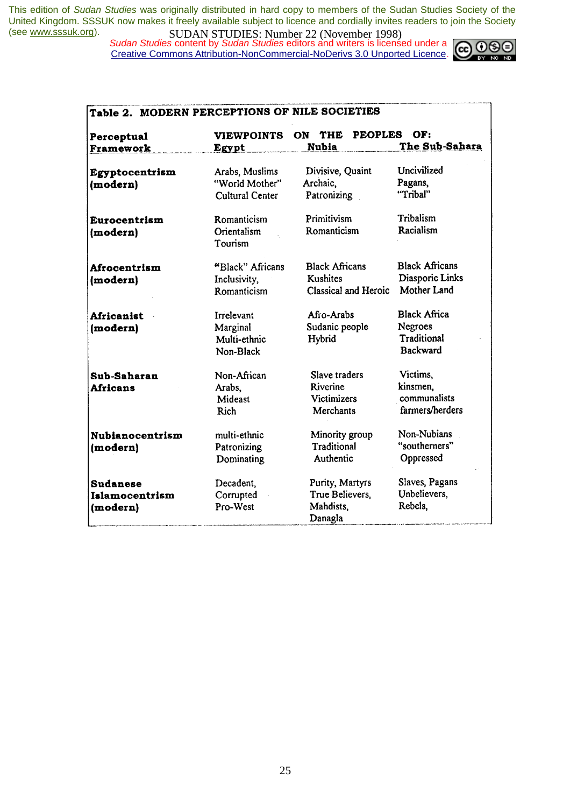*Sudan Studies* content by *Sudan Studies* editors and writers is licensed under a Creative Commons Attribution-NonCommercial-NoDerivs 3.0 Unported Licence.



| Perceptual             | <b>VIEWPOINTS</b>      | ON THE PEOPLES OF:    |                       |
|------------------------|------------------------|-----------------------|-----------------------|
| Framework              | Egypt                  | <b>Nubia</b>          | The Sub-Sahara        |
| Egyptocentrism         | Arabs, Muslims         | Divisive, Quaint      | Uncivilized           |
| (modern)               | "World Mother"         | Archaic,              | Pagans,               |
|                        | <b>Cultural Center</b> | Patronizing           | "Tribal"              |
| Eurocentrism           | Romanticism            | Primitivism           | Tribalism             |
| (modern)               | Orientalism<br>Tourism | Romanticism           | Racialism             |
| Afrocentrism           | "Black" Africans       | <b>Black Africans</b> | <b>Black Africans</b> |
| (modern)               | Inclusivity,           | <b>Kushites</b>       | Diasporic Links       |
|                        | Romanticism            | Classical and Heroic  | Mother Land           |
| <b>Africanist</b>      | <b>Irrelevant</b>      | Afro-Arabs            | <b>Black Africa</b>   |
| (modern)               | Marginal               | Sudanic people        | Negroes               |
|                        | Multi-ethnic           | Hybrid                | Traditional           |
|                        | Non-Black              |                       | <b>Backward</b>       |
| Sub-Saharan            | Non-African            | Slave traders         | Victims,              |
| <b>Africans</b>        | Arabs,                 | Riverine              | kinsmen.              |
|                        | Mideast                | <b>Victimizers</b>    | communalists          |
|                        | <b>Rich</b>            | <b>Merchants</b>      | farmers/herders       |
| <b>Nubianocentrism</b> | multi-ethnic           | Minority group        | Non-Nubians           |
| (modern)               | Patronizing            | Traditional           | "southerners"         |
|                        | Dominating             | Authentic             | Oppressed             |
| <b>Sudanese</b>        | Decadent,              | Purity, Martyrs       | Slaves, Pagans        |
| Islamocentrism         | Corrupted              | True Believers,       | Unbelievers,          |
| (modern)               | Pro-West               | Mahdists.             | Rebels,               |
|                        |                        | Danagla               |                       |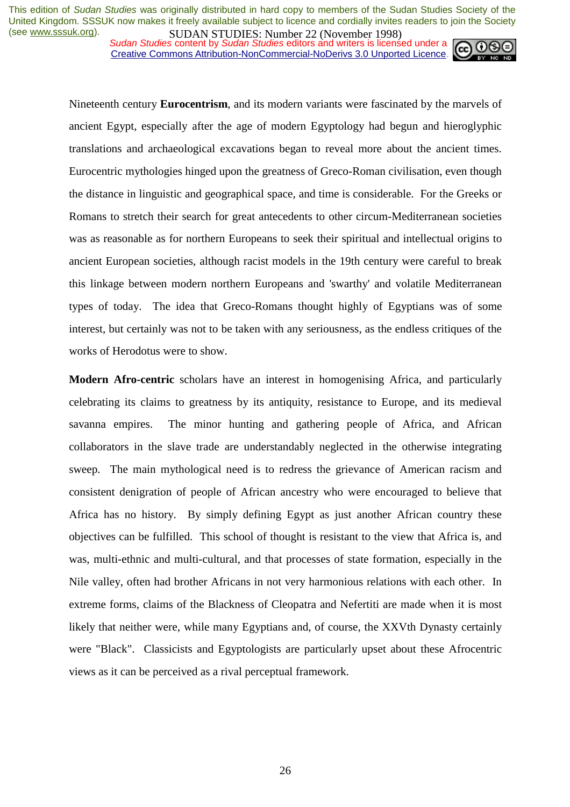**SUDAN STUDIES. INDUCE 22 (INOVERTIGE)**<br>Sudan Studies content by Sudan Studies editors and writers is licensed under a Creative Commons Attribution-NonCommercial-NoDerivs 3.0 Unported Licence.



Nineteenth century **Eurocentrism**, and its modern variants were fascinated by the marvels of ancient Egypt, especially after the age of modern Egyptology had begun and hieroglyphic translations and archaeological excavations began to reveal more about the ancient times. Eurocentric mythologies hinged upon the greatness of Greco-Roman civilisation, even though the distance in linguistic and geographical space, and time is considerable. For the Greeks or Romans to stretch their search for great antecedents to other circum-Mediterranean societies was as reasonable as for northern Europeans to seek their spiritual and intellectual origins to ancient European societies, although racist models in the 19th century were careful to break this linkage between modern northern Europeans and 'swarthy' and volatile Mediterranean types of today. The idea that Greco-Romans thought highly of Egyptians was of some interest, but certainly was not to be taken with any seriousness, as the endless critiques of the works of Herodotus were to show.

**Modern Afro-centric** scholars have an interest in homogenising Africa, and particularly celebrating its claims to greatness by its antiquity, resistance to Europe, and its medieval savanna empires. The minor hunting and gathering people of Africa, and African collaborators in the slave trade are understandably neglected in the otherwise integrating sweep. The main mythological need is to redress the grievance of American racism and consistent denigration of people of African ancestry who were encouraged to believe that Africa has no history. By simply defining Egypt as just another African country these objectives can be fulfilled. This school of thought is resistant to the view that Africa is, and was, multi-ethnic and multi-cultural, and that processes of state formation, especially in the Nile valley, often had brother Africans in not very harmonious relations with each other. In extreme forms, claims of the Blackness of Cleopatra and Nefertiti are made when it is most likely that neither were, while many Egyptians and, of course, the XXVth Dynasty certainly were "Black". Classicists and Egyptologists are particularly upset about these Afrocentric views as it can be perceived as a rival perceptual framework.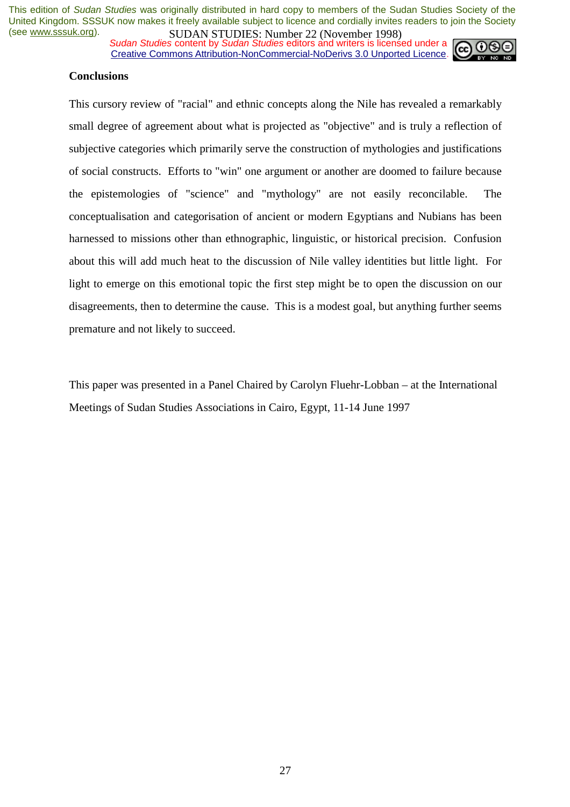*Sudan Studies* content by *Sudan Studies* editors and writers is licensed under a Creative Commons Attribution-NonCommercial-NoDerivs 3.0 Unported Licence.



## **Conclusions**

This cursory review of "racial" and ethnic concepts along the Nile has revealed a remarkably small degree of agreement about what is projected as "objective" and is truly a reflection of subjective categories which primarily serve the construction of mythologies and justifications of social constructs. Efforts to "win" one argument or another are doomed to failure because the epistemologies of "science" and "mythology" are not easily reconcilable. The conceptualisation and categorisation of ancient or modern Egyptians and Nubians has been harnessed to missions other than ethnographic, linguistic, or historical precision. Confusion about this will add much heat to the discussion of Nile valley identities but little light. For light to emerge on this emotional topic the first step might be to open the discussion on our disagreements, then to determine the cause. This is a modest goal, but anything further seems premature and not likely to succeed.

This paper was presented in a Panel Chaired by Carolyn Fluehr-Lobban – at the International Meetings of Sudan Studies Associations in Cairo, Egypt, 11-14 June 1997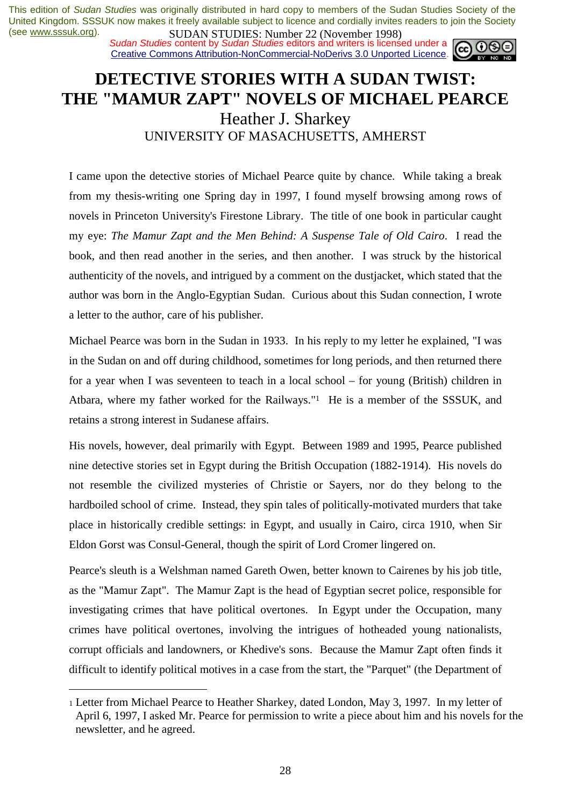**SUDAN STUDIES:** Number 22 (interaction 1770)<br>Sudan Studies content by Sudan Studies editors and writers is licensed under a Creative Commons Attribution-NonCommercial-NoDerivs 3.0 Unported Licence.

## **DETECTIVE STORIES WITH A SUDAN TWIST: THE "MAMUR ZAPT" NOVELS OF MICHAEL PEARCE** Heather J. Sharkey UNIVERSITY OF MASACHUSETTS, AMHERST

I came upon the detective stories of Michael Pearce quite by chance. While taking a break from my thesis-writing one Spring day in 1997, I found myself browsing among rows of novels in Princeton University's Firestone Library. The title of one book in particular caught my eye: *The Mamur Zapt and the Men Behind: A Suspense Tale of Old Cairo*. I read the book, and then read another in the series, and then another. I was struck by the historical authenticity of the novels, and intrigued by a comment on the dustjacket, which stated that the author was born in the Anglo-Egyptian Sudan. Curious about this Sudan connection, I wrote a letter to the author, care of his publisher.

Michael Pearce was born in the Sudan in 1933. In his reply to my letter he explained, "I was in the Sudan on and off during childhood, sometimes for long periods, and then returned there for a year when I was seventeen to teach in a local school – for young (British) children in Atbara, where my father worked for the Railways."1 He is a member of the SSSUK, and retains a strong interest in Sudanese affairs.

His novels, however, deal primarily with Egypt. Between 1989 and 1995, Pearce published nine detective stories set in Egypt during the British Occupation (1882-1914). His novels do not resemble the civilized mysteries of Christie or Sayers, nor do they belong to the hardboiled school of crime. Instead, they spin tales of politically-motivated murders that take place in historically credible settings: in Egypt, and usually in Cairo, circa 1910, when Sir Eldon Gorst was Consul-General, though the spirit of Lord Cromer lingered on.

Pearce's sleuth is a Welshman named Gareth Owen, better known to Cairenes by his job title, as the "Mamur Zapt". The Mamur Zapt is the head of Egyptian secret police, responsible for investigating crimes that have political overtones. In Egypt under the Occupation, many crimes have political overtones, involving the intrigues of hotheaded young nationalists, corrupt officials and landowners, or Khedive's sons. Because the Mamur Zapt often finds it difficult to identify political motives in a case from the start, the "Parquet" (the Department of

 $\overline{a}$ 

<sup>1</sup> Letter from Michael Pearce to Heather Sharkey, dated London, May 3, 1997. In my letter of April 6, 1997, I asked Mr. Pearce for permission to write a piece about him and his novels for the newsletter, and he agreed.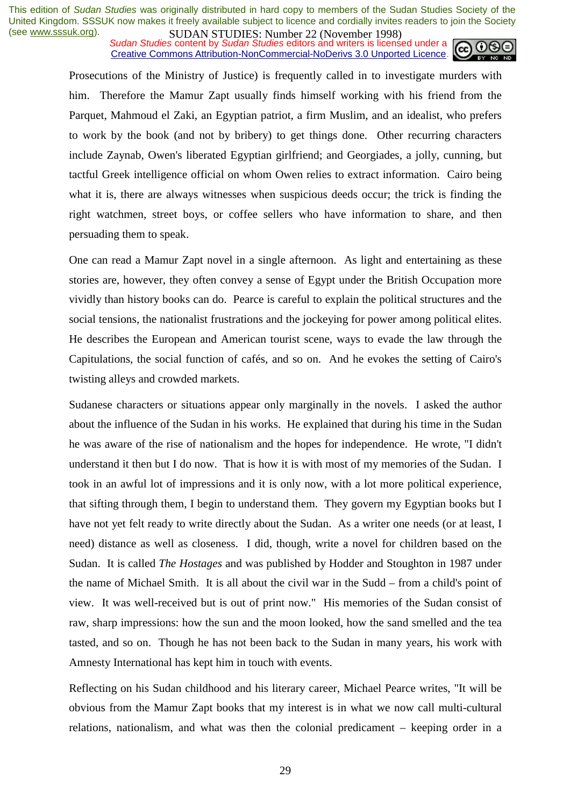**SUDAN STUDIES.** Number 22 (inversion 1999)<br>Sudan Studies content by Sudan Studies editors and writers is licensed under a Creative Commons Attribution-NonCommercial-NoDerivs 3.0 Unported Licence.



Prosecutions of the Ministry of Justice) is frequently called in to investigate murders with him. Therefore the Mamur Zapt usually finds himself working with his friend from the Parquet, Mahmoud el Zaki, an Egyptian patriot, a firm Muslim, and an idealist, who prefers to work by the book (and not by bribery) to get things done. Other recurring characters include Zaynab, Owen's liberated Egyptian girlfriend; and Georgiades, a jolly, cunning, but tactful Greek intelligence official on whom Owen relies to extract information. Cairo being what it is, there are always witnesses when suspicious deeds occur; the trick is finding the right watchmen, street boys, or coffee sellers who have information to share, and then persuading them to speak.

One can read a Mamur Zapt novel in a single afternoon. As light and entertaining as these stories are, however, they often convey a sense of Egypt under the British Occupation more vividly than history books can do. Pearce is careful to explain the political structures and the social tensions, the nationalist frustrations and the jockeying for power among political elites. He describes the European and American tourist scene, ways to evade the law through the Capitulations, the social function of cafés, and so on. And he evokes the setting of Cairo's twisting alleys and crowded markets.

Sudanese characters or situations appear only marginally in the novels. I asked the author about the influence of the Sudan in his works. He explained that during his time in the Sudan he was aware of the rise of nationalism and the hopes for independence. He wrote, "I didn't understand it then but I do now. That is how it is with most of my memories of the Sudan. I took in an awful lot of impressions and it is only now, with a lot more political experience, that sifting through them, I begin to understand them. They govern my Egyptian books but I have not yet felt ready to write directly about the Sudan. As a writer one needs (or at least, I need) distance as well as closeness. I did, though, write a novel for children based on the Sudan. It is called *The Hostages* and was published by Hodder and Stoughton in 1987 under the name of Michael Smith. It is all about the civil war in the Sudd – from a child's point of view. It was well-received but is out of print now." His memories of the Sudan consist of raw, sharp impressions: how the sun and the moon looked, how the sand smelled and the tea tasted, and so on. Though he has not been back to the Sudan in many years, his work with Amnesty International has kept him in touch with events.

Reflecting on his Sudan childhood and his literary career, Michael Pearce writes, "It will be obvious from the Mamur Zapt books that my interest is in what we now call multi-cultural relations, nationalism, and what was then the colonial predicament – keeping order in a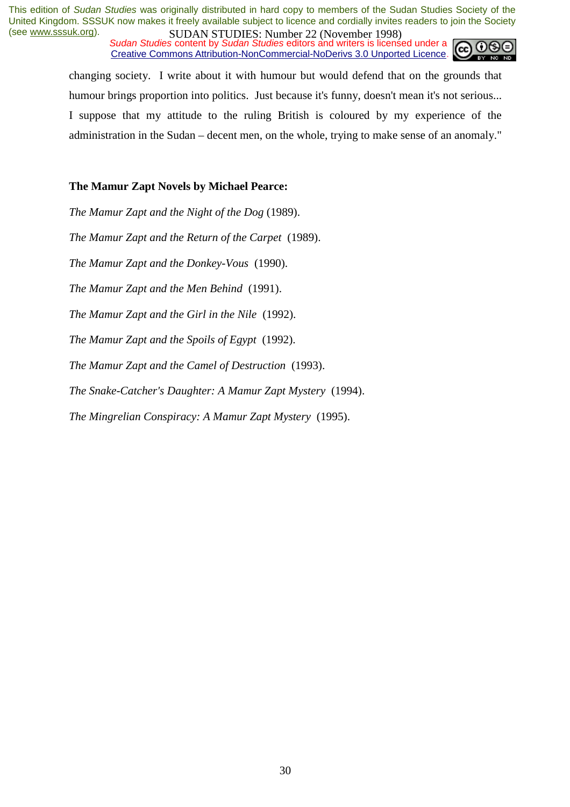*Sudan Studies* content by *Sudan Studies* editors and writers is licensed under a Creative Commons Attribution-NonCommercial-NoDerivs 3.0 Unported Licence.



changing society. I write about it with humour but would defend that on the grounds that humour brings proportion into politics. Just because it's funny, doesn't mean it's not serious... I suppose that my attitude to the ruling British is coloured by my experience of the administration in the Sudan – decent men, on the whole, trying to make sense of an anomaly."

## **The Mamur Zapt Novels by Michael Pearce:**

*The Mamur Zapt and the Night of the Dog* (1989). *The Mamur Zapt and the Return of the Carpet* (1989). *The Mamur Zapt and the Donkey-Vous* (1990). *The Mamur Zapt and the Men Behind* (1991). *The Mamur Zapt and the Girl in the Nile* (1992). *The Mamur Zapt and the Spoils of Egypt* (1992). *The Mamur Zapt and the Camel of Destruction* (1993). *The Snake-Catcher's Daughter: A Mamur Zapt Mystery* (1994).

*The Mingrelian Conspiracy: A Mamur Zapt Mystery* (1995).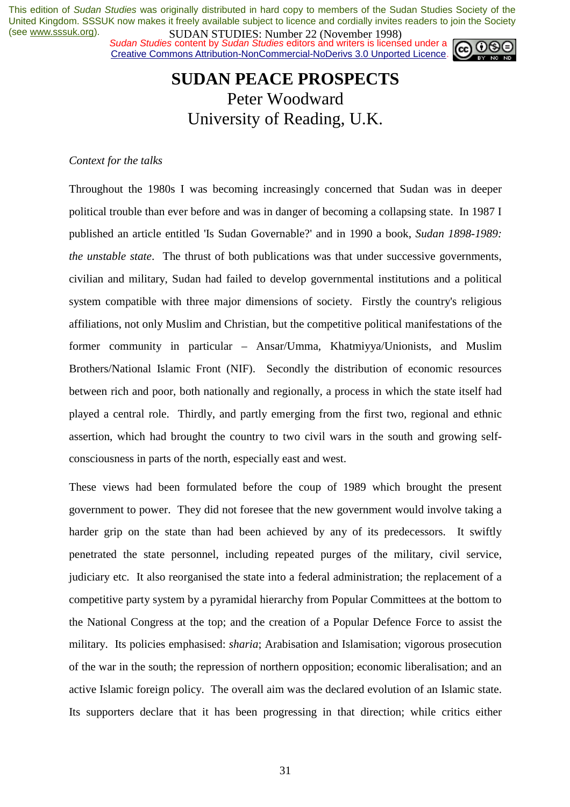*Sudan Studies* content by *Sudan Studies* editors and writers is licensed under a Creative Commons Attribution-NonCommercial-NoDerivs 3.0 Unported Licence.



## **SUDAN PEACE PROSPECTS**  Peter Woodward University of Reading, U.K.

## *Context for the talks*

Throughout the 1980s I was becoming increasingly concerned that Sudan was in deeper political trouble than ever before and was in danger of becoming a collapsing state. In 1987 I published an article entitled 'Is Sudan Governable?' and in 1990 a book, *Sudan 1898-1989: the unstable state*. The thrust of both publications was that under successive governments, civilian and military, Sudan had failed to develop governmental institutions and a political system compatible with three major dimensions of society. Firstly the country's religious affiliations, not only Muslim and Christian, but the competitive political manifestations of the former community in particular – Ansar/Umma, Khatmiyya/Unionists, and Muslim Brothers/National Islamic Front (NIF). Secondly the distribution of economic resources between rich and poor, both nationally and regionally, a process in which the state itself had played a central role. Thirdly, and partly emerging from the first two, regional and ethnic assertion, which had brought the country to two civil wars in the south and growing selfconsciousness in parts of the north, especially east and west.

These views had been formulated before the coup of 1989 which brought the present government to power. They did not foresee that the new government would involve taking a harder grip on the state than had been achieved by any of its predecessors. It swiftly penetrated the state personnel, including repeated purges of the military, civil service, judiciary etc. It also reorganised the state into a federal administration; the replacement of a competitive party system by a pyramidal hierarchy from Popular Committees at the bottom to the National Congress at the top; and the creation of a Popular Defence Force to assist the military. Its policies emphasised: *sharia*; Arabisation and Islamisation; vigorous prosecution of the war in the south; the repression of northern opposition; economic liberalisation; and an active Islamic foreign policy. The overall aim was the declared evolution of an Islamic state. Its supporters declare that it has been progressing in that direction; while critics either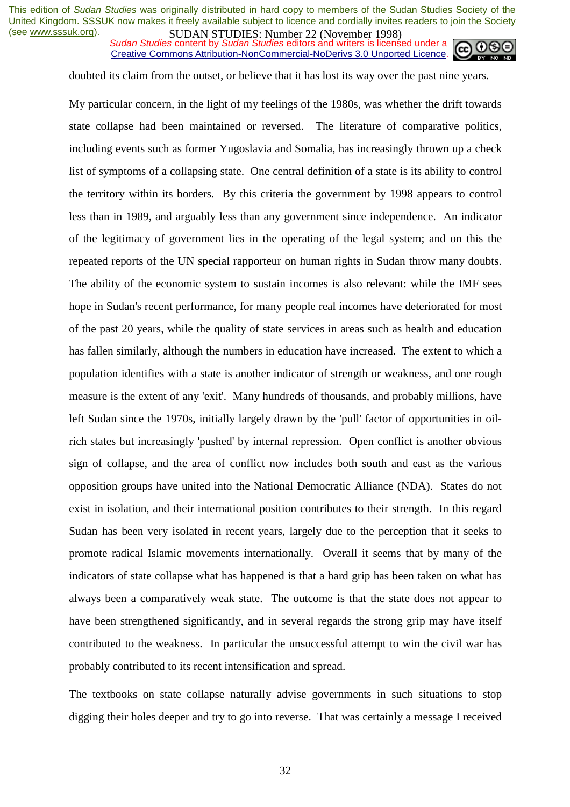*SUDAN STUDIES*, Number 22 GWYCHOOL 1226 Sudan Studies content by *Sudan Studies* editors and writers is licensed under a Creative Commons Attribution-NonCommercial-NoDerivs 3.0 Unported Licence.



doubted its claim from the outset, or believe that it has lost its way over the past nine years.

My particular concern, in the light of my feelings of the 1980s, was whether the drift towards state collapse had been maintained or reversed. The literature of comparative politics, including events such as former Yugoslavia and Somalia, has increasingly thrown up a check list of symptoms of a collapsing state. One central definition of a state is its ability to control the territory within its borders. By this criteria the government by 1998 appears to control less than in 1989, and arguably less than any government since independence. An indicator of the legitimacy of government lies in the operating of the legal system; and on this the repeated reports of the UN special rapporteur on human rights in Sudan throw many doubts. The ability of the economic system to sustain incomes is also relevant: while the IMF sees hope in Sudan's recent performance, for many people real incomes have deteriorated for most of the past 20 years, while the quality of state services in areas such as health and education has fallen similarly, although the numbers in education have increased. The extent to which a population identifies with a state is another indicator of strength or weakness, and one rough measure is the extent of any 'exit'. Many hundreds of thousands, and probably millions, have left Sudan since the 1970s, initially largely drawn by the 'pull' factor of opportunities in oilrich states but increasingly 'pushed' by internal repression. Open conflict is another obvious sign of collapse, and the area of conflict now includes both south and east as the various opposition groups have united into the National Democratic Alliance (NDA). States do not exist in isolation, and their international position contributes to their strength. In this regard Sudan has been very isolated in recent years, largely due to the perception that it seeks to promote radical Islamic movements internationally. Overall it seems that by many of the indicators of state collapse what has happened is that a hard grip has been taken on what has always been a comparatively weak state. The outcome is that the state does not appear to have been strengthened significantly, and in several regards the strong grip may have itself contributed to the weakness. In particular the unsuccessful attempt to win the civil war has probably contributed to its recent intensification and spread.

The textbooks on state collapse naturally advise governments in such situations to stop digging their holes deeper and try to go into reverse. That was certainly a message I received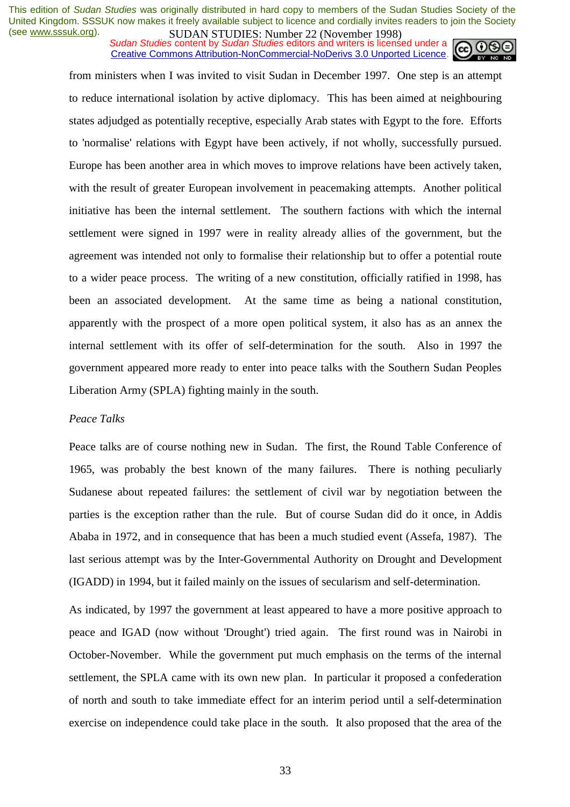**SUDAN STUDIES**. Number 22 (interactional 1776)<br>Sudan Studies content by Sudan Studies editors and writers is licensed under a Creative Commons Attribution-NonCommercial-NoDerivs 3.0 Unported Licence.



from ministers when I was invited to visit Sudan in December 1997. One step is an attempt to reduce international isolation by active diplomacy. This has been aimed at neighbouring states adjudged as potentially receptive, especially Arab states with Egypt to the fore. Efforts to 'normalise' relations with Egypt have been actively, if not wholly, successfully pursued. Europe has been another area in which moves to improve relations have been actively taken, with the result of greater European involvement in peacemaking attempts. Another political initiative has been the internal settlement. The southern factions with which the internal settlement were signed in 1997 were in reality already allies of the government, but the agreement was intended not only to formalise their relationship but to offer a potential route to a wider peace process. The writing of a new constitution, officially ratified in 1998, has been an associated development. At the same time as being a national constitution, apparently with the prospect of a more open political system, it also has as an annex the internal settlement with its offer of self-determination for the south. Also in 1997 the government appeared more ready to enter into peace talks with the Southern Sudan Peoples Liberation Army (SPLA) fighting mainly in the south.

#### *Peace Talks*

Peace talks are of course nothing new in Sudan. The first, the Round Table Conference of 1965, was probably the best known of the many failures. There is nothing peculiarly Sudanese about repeated failures: the settlement of civil war by negotiation between the parties is the exception rather than the rule. But of course Sudan did do it once, in Addis Ababa in 1972, and in consequence that has been a much studied event (Assefa, 1987). The last serious attempt was by the Inter-Governmental Authority on Drought and Development (IGADD) in 1994, but it failed mainly on the issues of secularism and self-determination.

As indicated, by 1997 the government at least appeared to have a more positive approach to peace and IGAD (now without 'Drought') tried again. The first round was in Nairobi in October-November. While the government put much emphasis on the terms of the internal settlement, the SPLA came with its own new plan. In particular it proposed a confederation of north and south to take immediate effect for an interim period until a self-determination exercise on independence could take place in the south. It also proposed that the area of the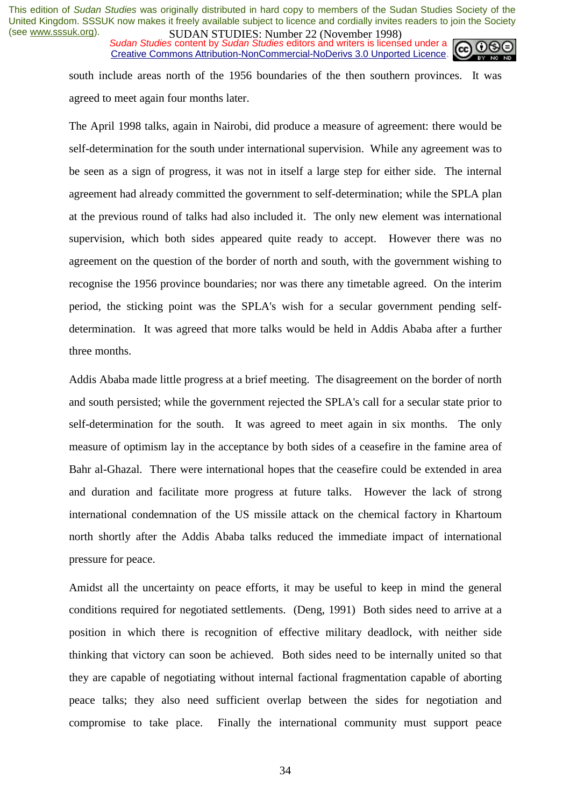*Sudan Studies* content by *Sudan Studies* editors and writers is licensed under a Creative Commons Attribution-NonCommercial-NoDerivs 3.0 Unported Licence.



south include areas north of the 1956 boundaries of the then southern provinces. It was agreed to meet again four months later.

The April 1998 talks, again in Nairobi, did produce a measure of agreement: there would be self-determination for the south under international supervision. While any agreement was to be seen as a sign of progress, it was not in itself a large step for either side. The internal agreement had already committed the government to self-determination; while the SPLA plan at the previous round of talks had also included it. The only new element was international supervision, which both sides appeared quite ready to accept. However there was no agreement on the question of the border of north and south, with the government wishing to recognise the 1956 province boundaries; nor was there any timetable agreed. On the interim period, the sticking point was the SPLA's wish for a secular government pending selfdetermination. It was agreed that more talks would be held in Addis Ababa after a further three months.

Addis Ababa made little progress at a brief meeting. The disagreement on the border of north and south persisted; while the government rejected the SPLA's call for a secular state prior to self-determination for the south. It was agreed to meet again in six months. The only measure of optimism lay in the acceptance by both sides of a ceasefire in the famine area of Bahr al-Ghazal. There were international hopes that the ceasefire could be extended in area and duration and facilitate more progress at future talks. However the lack of strong international condemnation of the US missile attack on the chemical factory in Khartoum north shortly after the Addis Ababa talks reduced the immediate impact of international pressure for peace.

Amidst all the uncertainty on peace efforts, it may be useful to keep in mind the general conditions required for negotiated settlements. (Deng, 1991) Both sides need to arrive at a position in which there is recognition of effective military deadlock, with neither side thinking that victory can soon be achieved. Both sides need to be internally united so that they are capable of negotiating without internal factional fragmentation capable of aborting peace talks; they also need sufficient overlap between the sides for negotiation and compromise to take place. Finally the international community must support peace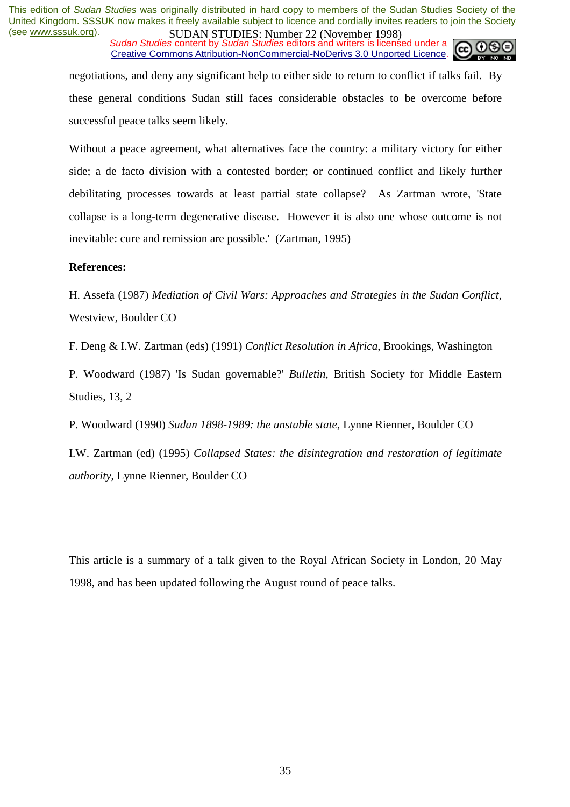**SUDAN STUDIES**. Number 22 (interactional 1770)<br>Sudan Studies content by Sudan Studies editors and writers is licensed under a Creative Commons Attribution-NonCommercial-NoDerivs 3.0 Unported Licence.



negotiations, and deny any significant help to either side to return to conflict if talks fail. By these general conditions Sudan still faces considerable obstacles to be overcome before successful peace talks seem likely.

Without a peace agreement, what alternatives face the country: a military victory for either side; a de facto division with a contested border; or continued conflict and likely further debilitating processes towards at least partial state collapse? As Zartman wrote, 'State collapse is a long-term degenerative disease. However it is also one whose outcome is not inevitable: cure and remission are possible.' (Zartman, 1995)

## **References:**

H. Assefa (1987) *Mediation of Civil Wars: Approaches and Strategies in the Sudan Conflict*, Westview, Boulder CO

F. Deng & I.W. Zartman (eds) (1991) *Conflict Resolution in Africa*, Brookings, Washington

P. Woodward (1987) 'Is Sudan governable?' *Bulletin*, British Society for Middle Eastern Studies, 13, 2

P. Woodward (1990) *Sudan 1898-1989: the unstable state*, Lynne Rienner, Boulder CO

I.W. Zartman (ed) (1995) *Collapsed States: the disintegration and restoration of legitimate authority*, Lynne Rienner, Boulder CO

This article is a summary of a talk given to the Royal African Society in London, 20 May 1998, and has been updated following the August round of peace talks.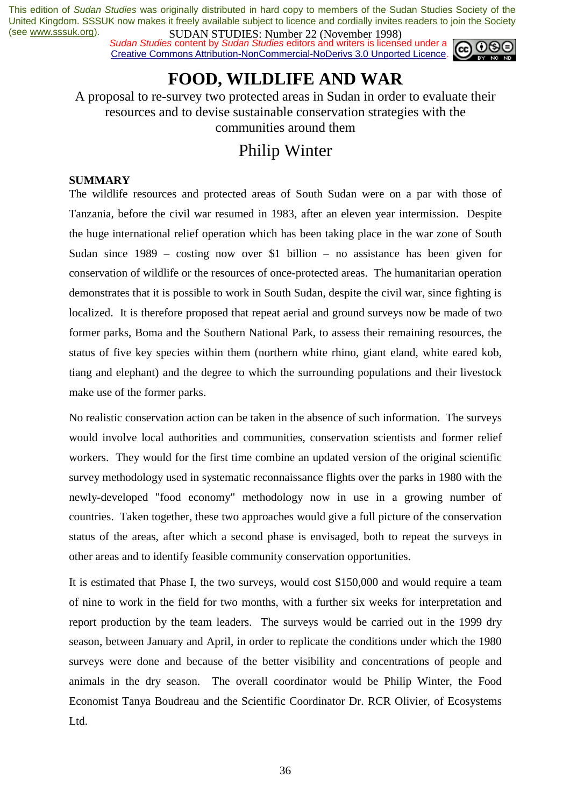*Sudan Studies* content by *Sudan Studies* editors and writers is licensed under a Creative Commons Attribution-NonCommercial-NoDerivs 3.0 Unported Licence.



## **FOOD, WILDLIFE AND WAR**

A proposal to re-survey two protected areas in Sudan in order to evaluate their resources and to devise sustainable conservation strategies with the communities around them

## Philip Winter

## **SUMMARY**

The wildlife resources and protected areas of South Sudan were on a par with those of Tanzania, before the civil war resumed in 1983, after an eleven year intermission. Despite the huge international relief operation which has been taking place in the war zone of South Sudan since 1989 – costing now over \$1 billion – no assistance has been given for conservation of wildlife or the resources of once-protected areas. The humanitarian operation demonstrates that it is possible to work in South Sudan, despite the civil war, since fighting is localized. It is therefore proposed that repeat aerial and ground surveys now be made of two former parks, Boma and the Southern National Park, to assess their remaining resources, the status of five key species within them (northern white rhino, giant eland, white eared kob, tiang and elephant) and the degree to which the surrounding populations and their livestock make use of the former parks.

No realistic conservation action can be taken in the absence of such information. The surveys would involve local authorities and communities, conservation scientists and former relief workers. They would for the first time combine an updated version of the original scientific survey methodology used in systematic reconnaissance flights over the parks in 1980 with the newly-developed "food economy" methodology now in use in a growing number of countries. Taken together, these two approaches would give a full picture of the conservation status of the areas, after which a second phase is envisaged, both to repeat the surveys in other areas and to identify feasible community conservation opportunities.

It is estimated that Phase I, the two surveys, would cost \$150,000 and would require a team of nine to work in the field for two months, with a further six weeks for interpretation and report production by the team leaders. The surveys would be carried out in the 1999 dry season, between January and April, in order to replicate the conditions under which the 1980 surveys were done and because of the better visibility and concentrations of people and animals in the dry season. The overall coordinator would be Philip Winter, the Food Economist Tanya Boudreau and the Scientific Coordinator Dr. RCR Olivier, of Ecosystems Ltd.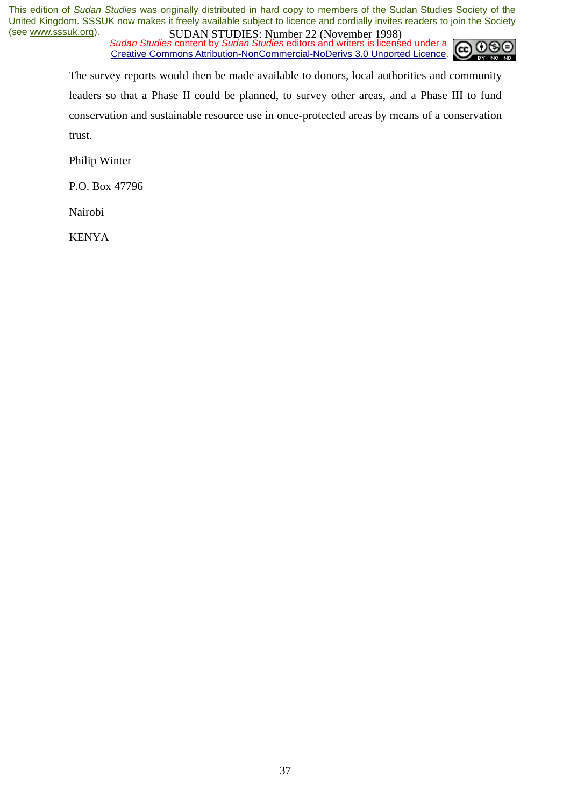*Sudan Studies* content by *Sudan Studies* editors and writers is licensed under a Creative Commons Attribution-NonCommercial-NoDerivs 3.0 Unported Licence.



The survey reports would then be made available to donors, local authorities and community leaders so that a Phase II could be planned, to survey other areas, and a Phase III to fund conservation and sustainable resource use in once-protected areas by means of a conservation trust.

Philip Winter

P.O. Box 47796

Nairobi

KENYA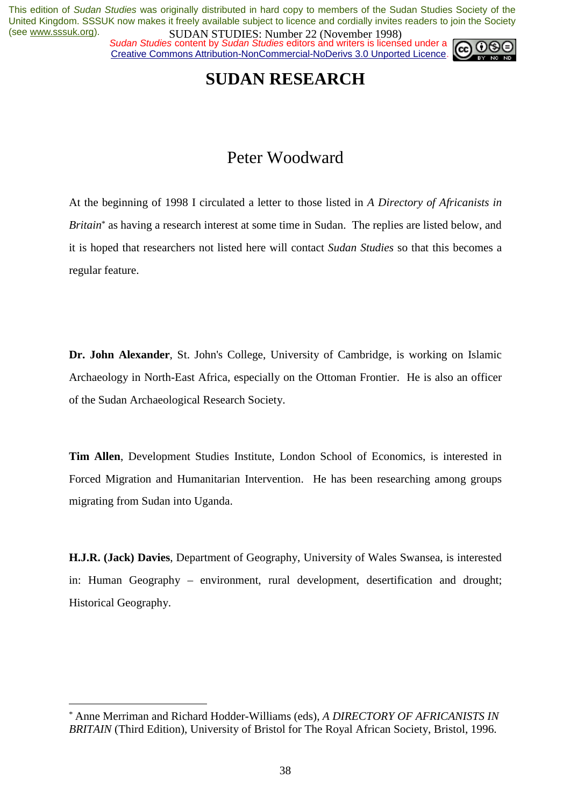**SUDAN STUDIES.** Number 22 (inversion 1770)<br>Sudan Studies content by Sudan Studies editors and writers is licensed under a Creative Commons Attribution-NonCommercial-NoDerivs 3.0 Unported Licence.



## **SUDAN RESEARCH**

## Peter Woodward

At the beginning of 1998 I circulated a letter to those listed in *A Directory of Africanists in Britain*\* as having a research interest at some time in Sudan. The replies are listed below, and it is hoped that researchers not listed here will contact *Sudan Studies* so that this becomes a regular feature.

**Dr. John Alexander**, St. John's College, University of Cambridge, is working on Islamic Archaeology in North-East Africa, especially on the Ottoman Frontier. He is also an officer of the Sudan Archaeological Research Society.

**Tim Allen**, Development Studies Institute, London School of Economics, is interested in Forced Migration and Humanitarian Intervention. He has been researching among groups migrating from Sudan into Uganda.

**H.J.R. (Jack) Davies**, Department of Geography, University of Wales Swansea, is interested in: Human Geography – environment, rural development, desertification and drought; Historical Geography.

 $\overline{a}$ 

<sup>\*</sup> Anne Merriman and Richard Hodder-Williams (eds), *A DIRECTORY OF AFRICANISTS IN BRITAIN* (Third Edition), University of Bristol for The Royal African Society, Bristol, 1996.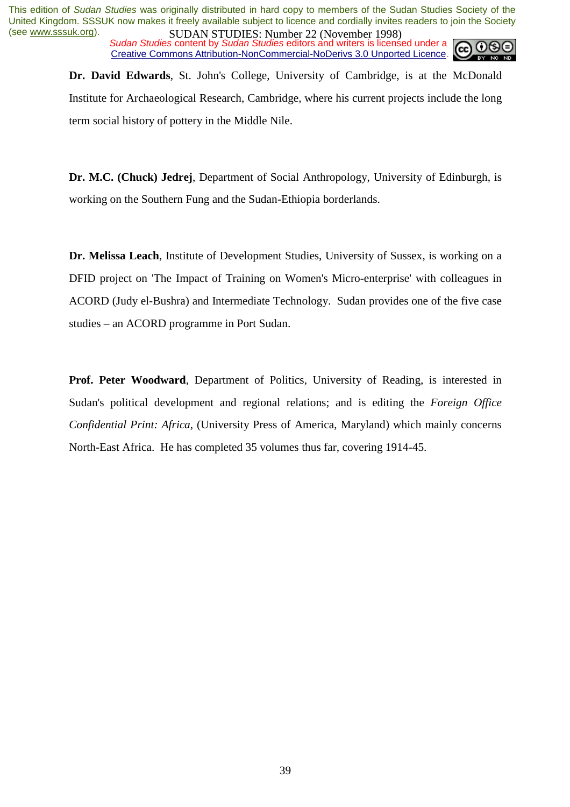**SUDAN STUDIES.** Number 22 (interaction 1770)<br>Sudan Studies content by Sudan Studies editors and writers is licensed under a Creative Commons Attribution-NonCommercial-NoDerivs 3.0 Unported Licence.



**Dr. David Edwards**, St. John's College, University of Cambridge, is at the McDonald Institute for Archaeological Research, Cambridge, where his current projects include the long term social history of pottery in the Middle Nile.

**Dr. M.C. (Chuck) Jedrej**, Department of Social Anthropology, University of Edinburgh, is working on the Southern Fung and the Sudan-Ethiopia borderlands.

**Dr. Melissa Leach**, Institute of Development Studies, University of Sussex, is working on a DFID project on 'The Impact of Training on Women's Micro-enterprise' with colleagues in ACORD (Judy el-Bushra) and Intermediate Technology. Sudan provides one of the five case studies – an ACORD programme in Port Sudan.

Prof. Peter Woodward, Department of Politics, University of Reading, is interested in Sudan's political development and regional relations; and is editing the *Foreign Office Confidential Print: Africa*, (University Press of America, Maryland) which mainly concerns North-East Africa. He has completed 35 volumes thus far, covering 1914-45.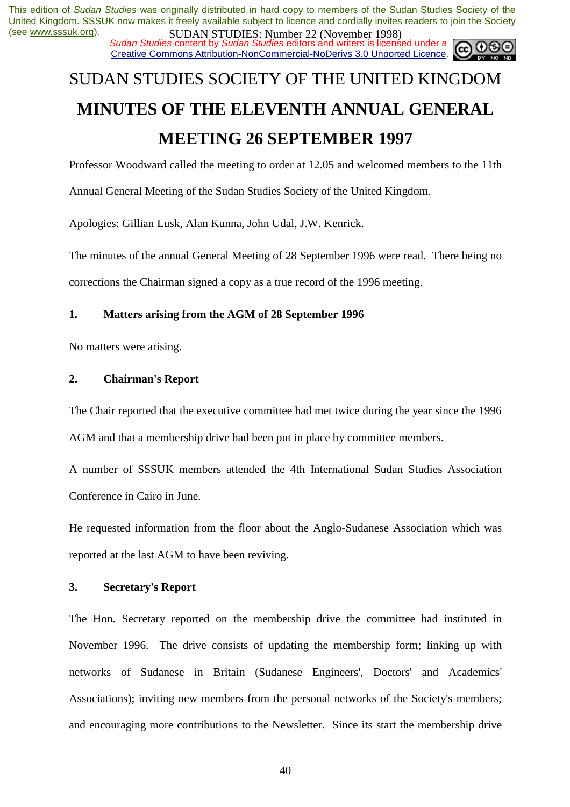**SUDAN STUDIES.** Number 22 (inversion 1770)<br>Sudan Studies content by Sudan Studies editors and writers is licensed under a Creative Commons Attribution-NonCommercial-NoDerivs 3.0 Unported Licence.

# SUDAN STUDIES SOCIETY OF THE UNITED KINGDOM **MINUTES OF THE ELEVENTH ANNUAL GENERAL MEETING 26 SEPTEMBER 1997**

Professor Woodward called the meeting to order at 12.05 and welcomed members to the 11th

Annual General Meeting of the Sudan Studies Society of the United Kingdom.

Apologies: Gillian Lusk, Alan Kunna, John Udal, J.W. Kenrick.

The minutes of the annual General Meeting of 28 September 1996 were read. There being no corrections the Chairman signed a copy as a true record of the 1996 meeting.

## **1. Matters arising from the AGM of 28 September 1996**

No matters were arising.

## **2. Chairman's Report**

The Chair reported that the executive committee had met twice during the year since the 1996 AGM and that a membership drive had been put in place by committee members.

A number of SSSUK members attended the 4th International Sudan Studies Association Conference in Cairo in June.

He requested information from the floor about the Anglo-Sudanese Association which was reported at the last AGM to have been reviving.

## **3. Secretary's Report**

The Hon. Secretary reported on the membership drive the committee had instituted in November 1996. The drive consists of updating the membership form; linking up with networks of Sudanese in Britain (Sudanese Engineers', Doctors' and Academics' Associations); inviting new members from the personal networks of the Society's members; and encouraging more contributions to the Newsletter. Since its start the membership drive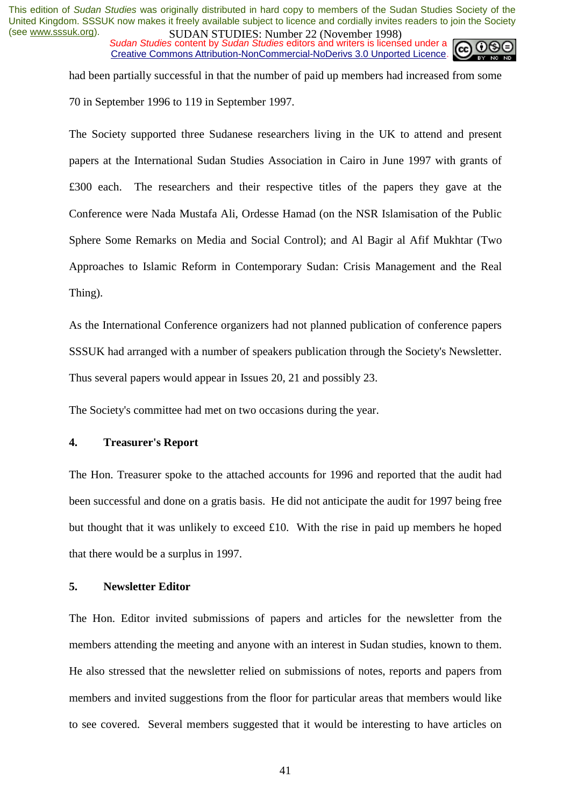*Sudan Studies* content by *Sudan Studies* editors and writers is licensed under a Creative Commons Attribution-NonCommercial-NoDerivs 3.0 Unported Licence.



had been partially successful in that the number of paid up members had increased from some 70 in September 1996 to 119 in September 1997.

The Society supported three Sudanese researchers living in the UK to attend and present papers at the International Sudan Studies Association in Cairo in June 1997 with grants of £300 each. The researchers and their respective titles of the papers they gave at the Conference were Nada Mustafa Ali, Ordesse Hamad (on the NSR Islamisation of the Public Sphere Some Remarks on Media and Social Control); and Al Bagir al Afif Mukhtar (Two Approaches to Islamic Reform in Contemporary Sudan: Crisis Management and the Real Thing).

As the International Conference organizers had not planned publication of conference papers SSSUK had arranged with a number of speakers publication through the Society's Newsletter. Thus several papers would appear in Issues 20, 21 and possibly 23.

The Society's committee had met on two occasions during the year.

## **4. Treasurer's Report**

The Hon. Treasurer spoke to the attached accounts for 1996 and reported that the audit had been successful and done on a gratis basis. He did not anticipate the audit for 1997 being free but thought that it was unlikely to exceed £10. With the rise in paid up members he hoped that there would be a surplus in 1997.

## **5. Newsletter Editor**

The Hon. Editor invited submissions of papers and articles for the newsletter from the members attending the meeting and anyone with an interest in Sudan studies, known to them. He also stressed that the newsletter relied on submissions of notes, reports and papers from members and invited suggestions from the floor for particular areas that members would like to see covered. Several members suggested that it would be interesting to have articles on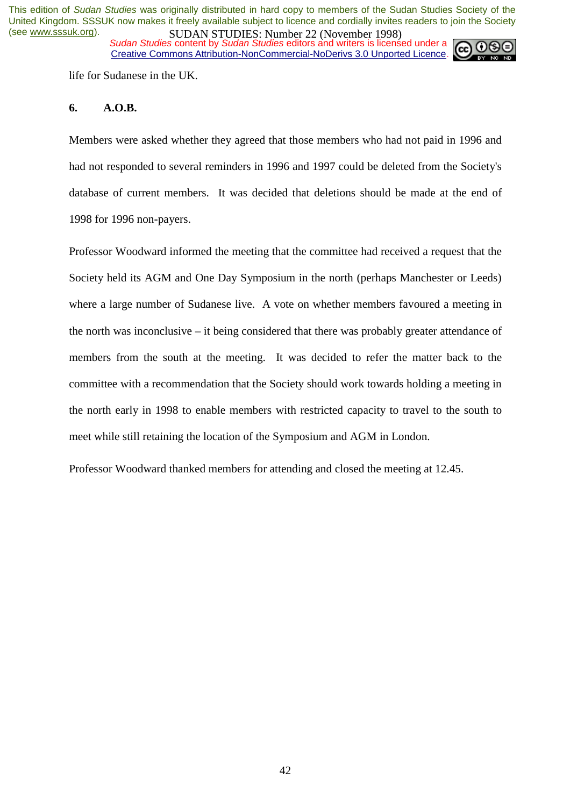*Sudan Studies* content by *Sudan Studies* editors and writers is licensed under a Creative Commons Attribution-NonCommercial-NoDerivs 3.0 Unported Licence.



life for Sudanese in the UK.

#### **6. A.O.B.**

Members were asked whether they agreed that those members who had not paid in 1996 and had not responded to several reminders in 1996 and 1997 could be deleted from the Society's database of current members. It was decided that deletions should be made at the end of 1998 for 1996 non-payers.

Professor Woodward informed the meeting that the committee had received a request that the Society held its AGM and One Day Symposium in the north (perhaps Manchester or Leeds) where a large number of Sudanese live. A vote on whether members favoured a meeting in the north was inconclusive – it being considered that there was probably greater attendance of members from the south at the meeting. It was decided to refer the matter back to the committee with a recommendation that the Society should work towards holding a meeting in the north early in 1998 to enable members with restricted capacity to travel to the south to meet while still retaining the location of the Symposium and AGM in London.

Professor Woodward thanked members for attending and closed the meeting at 12.45.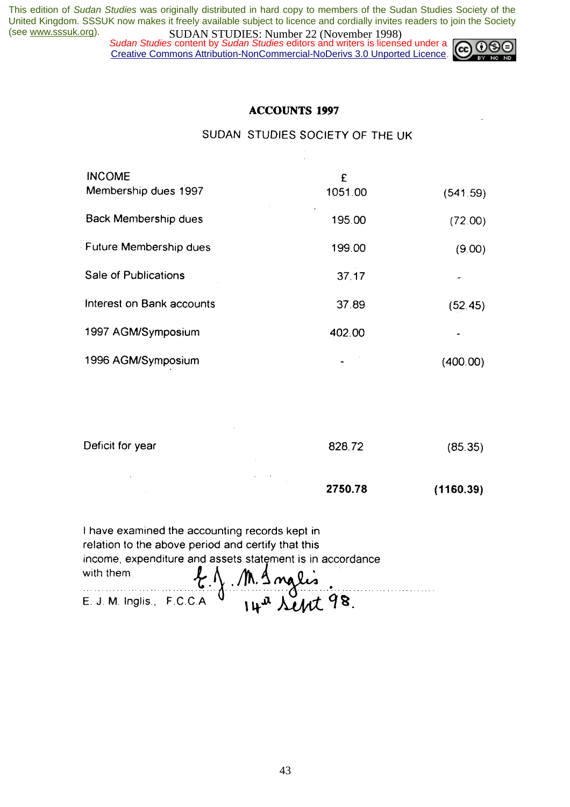*Sudan Studies* content by *Sudan Studies* editors and writers is licensed under a Creative Commons Attribution-NonCommercial-NoDerivs 3.0 Unported Licence.



## **ACCOUNTS 1997**

SUDAN STUDIES SOCIETY OF THE UK

 $\overline{a}$ 

| <b>INCOME</b><br>Membership dues 1997 | £<br>1051.00 | (541.59) |
|---------------------------------------|--------------|----------|
| Back Membership dues                  | 195.00       | (72.00)  |
| Future Membership dues                | 199.00       | (9.00)   |
| Sale of Publications                  | 37.17        |          |
| Interest on Bank accounts             | 37.89        | (52.45)  |
| 1997 AGM/Symposium                    | 402.00       |          |
| 1996 AGM/Symposium                    |              | (400.00) |

| Deficit for year<br>$\sim$ | 828.72            | (85.35)   |
|----------------------------|-------------------|-----------|
| $\sim$<br>$\sim$<br>$\sim$ | $\sim$<br>2750.78 | (1160.39) |

| I have examined the accounting records kept in            |                 |                          |  |
|-----------------------------------------------------------|-----------------|--------------------------|--|
| relation to the above period and certify that this        |                 |                          |  |
| income, expenditure and assets statement is in accordance |                 |                          |  |
| with them                                                 | E.J. M. Snglis. |                          |  |
| E. J. M. Inglis., F.C.C.A. V                              |                 | 14 <sup>a</sup> Sept 98. |  |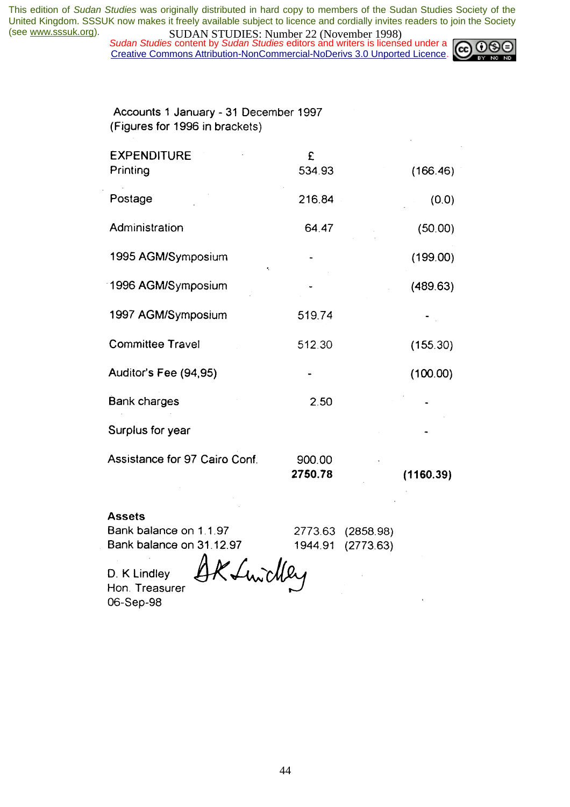*Sudan Studies* content by *Sudan Studies* editors and writers is licensed under a Creative Commons Attribution-NonCommercial-NoDerivs 3.0 Unported Licence.



Accounts 1 January - 31 December 1997 (Figures for 1996 in brackets)

| <b>EXPENDITURE</b>            | £                 |           |
|-------------------------------|-------------------|-----------|
| Printing                      | 534.93            | (166.46)  |
| Postage                       | 216.84            | (0, 0)    |
| Administration                | 64.47             | (50.00)   |
| 1995 AGM/Symposium            | ٠,                | (199.00)  |
| 1996 AGM/Symposium            |                   | (489.63)  |
| 1997 AGM/Symposium            | 519.74            |           |
| <b>Committee Travel</b>       | 512.30            | (155.30)  |
| Auditor's Fee (94,95)         |                   | (100.00)  |
| <b>Bank charges</b>           | 2.50              |           |
| Surplus for year              |                   |           |
| Assistance for 97 Cairo Conf. | 900.00<br>2750.78 | (1160.39) |

#### **Assets**

Bank balance on 1.1.97 Bank balance on 31.12.97 2773.63 (2858.98) 1944.91 (2773.63)

D. K Lindley Hon. Treasurer 06-Sep-98

Kfundley